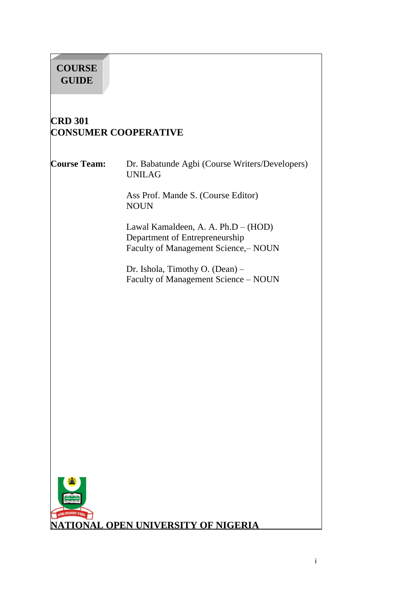# **COURSE GUIDE**

# **CRD 301 CONSUMER COOPERATIVE**

**Course Team:** Dr. Babatunde Agbi (Course Writers/Developers) UNILAG

> Ass Prof. Mande S. (Course Editor) NOUN

Lawal Kamaldeen, A. A. Ph.D – (HOD) Department of Entrepreneurship Faculty of Management Science, – NOUN

Dr. Ishola, Timothy O. (Dean) – Faculty of Management Science – NOUN

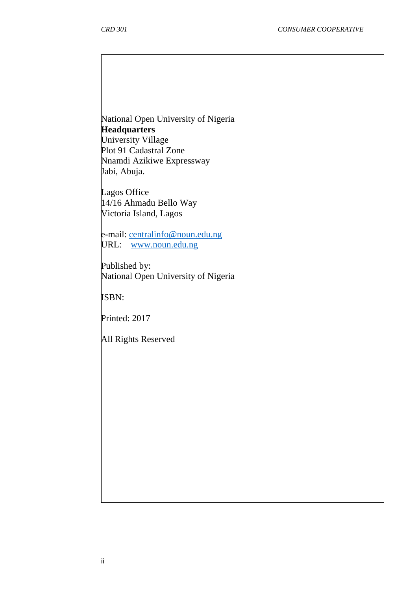National Open University of Nigeria **Headquarters** University Village Plot 91 Cadastral Zone Nnamdi Azikiwe Expressway

Lagos Office 14/16 Ahmadu Bello Way Victoria Island, Lagos

Jabi, Abuja.

e-mail: [centralinfo@noun.edu.ng](mailto:centralinfo@noun.edu.ng) URL: [www.noun.edu.ng](http://www.noun.edu.ng/)

Published by: National Open University of Nigeria

ISBN:

Printed: 2017

All Rights Reserved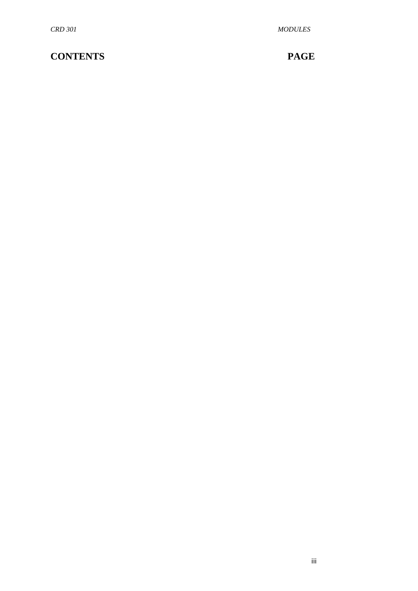# **CONTENTS PAGE**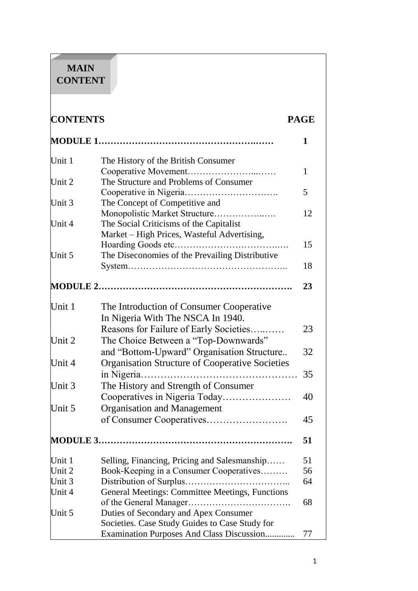# **MAIN CONTENT**

| <b>CONTENTS</b> |                                                        | <b>PAGE</b> |  |
|-----------------|--------------------------------------------------------|-------------|--|
|                 |                                                        | 1           |  |
| Unit 1          | The History of the British Consumer                    |             |  |
|                 | Cooperative Movement                                   | 1           |  |
| Unit 2          | The Structure and Problems of Consumer                 | 5           |  |
| Unit 3          | The Concept of Competitive and                         |             |  |
|                 | Monopolistic Market Structure                          | 12          |  |
| Unit 4          | The Social Criticisms of the Capitalist                |             |  |
|                 | Market – High Prices, Wasteful Advertising,            |             |  |
|                 |                                                        | 15          |  |
| Unit 5          | The Diseconomies of the Prevailing Distributive        |             |  |
|                 |                                                        | 18          |  |
|                 |                                                        | 23          |  |
| Unit 1          | The Introduction of Consumer Cooperative               |             |  |
|                 | In Nigeria With The NSCA In 1940.                      |             |  |
|                 | Reasons for Failure of Early Societies                 | 23          |  |
| Unit 2          | The Choice Between a "Top-Downwards"                   |             |  |
|                 | and "Bottom-Upward" Organisation Structure             | 32          |  |
| Unit 4          | <b>Organisation Structure of Cooperative Societies</b> |             |  |
|                 | in Nigeria                                             | 35          |  |
| Unit 3          | The History and Strength of Consumer                   |             |  |
|                 | Cooperatives in Nigeria Today                          | 40          |  |
| Unit 5          | <b>Organisation and Management</b>                     |             |  |
|                 |                                                        | 45          |  |
|                 |                                                        | 51          |  |
| Unit 1          | Selling, Financing, Pricing and Salesmanship           | 51          |  |
| Unit 2          | Book-Keeping in a Consumer Cooperatives                | 56          |  |
| Unit 3          |                                                        | 64          |  |
| Unit 4          | General Meetings: Committee Meetings, Functions        |             |  |
|                 |                                                        | 68          |  |
| Unit 5          | Duties of Secondary and Apex Consumer                  |             |  |
|                 | Societies. Case Study Guides to Case Study for         |             |  |
|                 | Examination Purposes And Class Discussion              | 77          |  |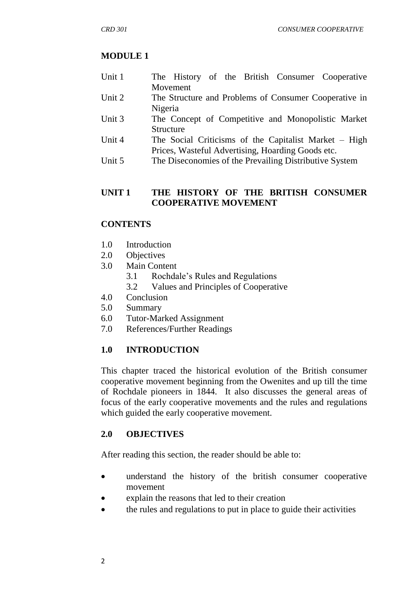## **MODULE 1**

- Unit 1 The History of the British Consumer Cooperative Movement
- Unit 2 The Structure and Problems of Consumer Cooperative in Nigeria
- Unit 3 The Concept of Competitive and Monopolistic Market Structure
- Unit 4 The Social Criticisms of the Capitalist Market High Prices, Wasteful Advertising, Hoarding Goods etc.
- Unit 5 The Diseconomies of the Prevailing Distributive System

## **UNIT 1 THE HISTORY OF THE BRITISH CONSUMER COOPERATIVE MOVEMENT**

## **CONTENTS**

- 1.0 Introduction
- 2.0 Objectives
- 3.0 Main Content
	- 3.1 Rochdale"s Rules and Regulations
	- 3.2 Values and Principles of Cooperative
- 4.0 Conclusion
- 5.0 Summary
- 6.0 Tutor-Marked Assignment
- 7.0 References/Further Readings

## **1.0 INTRODUCTION**

This chapter traced the historical evolution of the British consumer cooperative movement beginning from the Owenites and up till the time of Rochdale pioneers in 1844. It also discusses the general areas of focus of the early cooperative movements and the rules and regulations which guided the early cooperative movement.

## **2.0 OBJECTIVES**

After reading this section, the reader should be able to:

- understand the history of the british consumer cooperative movement
- explain the reasons that led to their creation
- the rules and regulations to put in place to guide their activities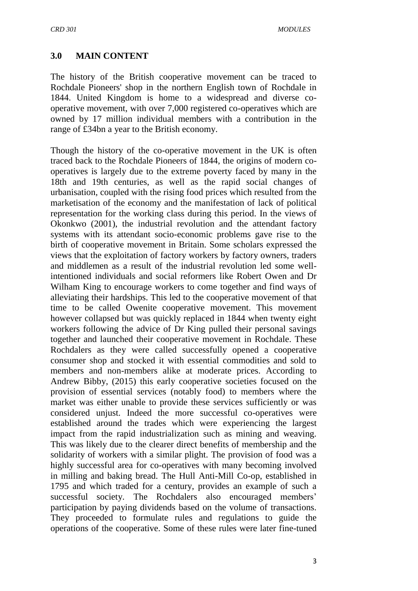## **3.0 MAIN CONTENT**

The history of the British cooperative movement can be traced to Rochdale Pioneers' shop in the northern English town of Rochdale in 1844. United Kingdom is home to a widespread and diverse cooperative movement, with over 7,000 registered co-operatives which are owned by 17 million individual members with a contribution in the range of £34bn a year to the British economy.

Though the history of the co-operative movement in the UK is often traced back to the Rochdale Pioneers of 1844, the origins of modern cooperatives is largely due to the extreme poverty faced by many in the 18th and 19th centuries, as well as the rapid social changes of urbanisation, coupled with the rising food prices which resulted from the marketisation of the economy and the manifestation of lack of political representation for the working class during this period. In the views of Okonkwo (2001), the industrial revolution and the attendant factory systems with its attendant socio-economic problems gave rise to the birth of cooperative movement in Britain. Some scholars expressed the views that the exploitation of factory workers by factory owners, traders and middlemen as a result of the industrial revolution led some wellintentioned individuals and social reformers like Robert Owen and Dr Wilham King to encourage workers to come together and find ways of alleviating their hardships. This led to the cooperative movement of that time to be called Owenite cooperative movement. This movement however collapsed but was quickly replaced in 1844 when twenty eight workers following the advice of Dr King pulled their personal savings together and launched their cooperative movement in Rochdale. These Rochdalers as they were called successfully opened a cooperative consumer shop and stocked it with essential commodities and sold to members and non-members alike at moderate prices. According to Andrew Bibby, (2015) this early cooperative societies focused on the provision of essential services (notably food) to members where the market was either unable to provide these services sufficiently or was considered unjust. Indeed the more successful co-operatives were established around the trades which were experiencing the largest impact from the rapid industrialization such as mining and weaving. This was likely due to the clearer direct benefits of membership and the solidarity of workers with a similar plight. The provision of food was a highly successful area for co-operatives with many becoming involved in milling and baking bread. The Hull Anti-Mill Co-op, established in 1795 and which traded for a century, provides an example of such a successful society. The Rochdalers also encouraged members' participation by paying dividends based on the volume of transactions. They proceeded to formulate rules and regulations to guide the operations of the cooperative. Some of these rules were later fine-tuned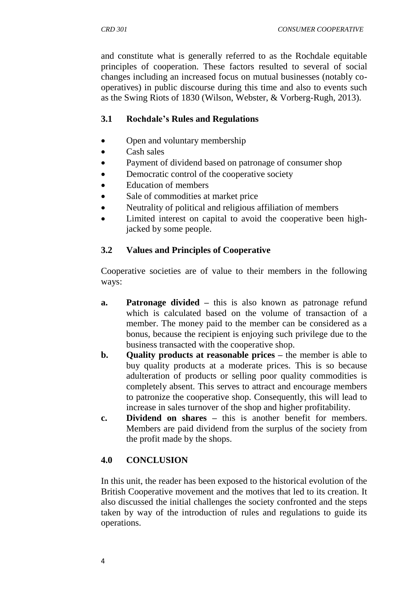and constitute what is generally referred to as the Rochdale equitable principles of cooperation. These factors resulted to several of social changes including an increased focus on mutual businesses (notably cooperatives) in public discourse during this time and also to events such as the Swing Riots of 1830 (Wilson, Webster, & Vorberg-Rugh, 2013).

## **3.1 Rochdale's Rules and Regulations**

- Open and voluntary membership
- Cash sales
- Payment of dividend based on patronage of consumer shop
- Democratic control of the cooperative society
- Education of members
- Sale of commodities at market price
- Neutrality of political and religious affiliation of members
- Limited interest on capital to avoid the cooperative been highjacked by some people.

## **3.2 Values and Principles of Cooperative**

Cooperative societies are of value to their members in the following ways:

- **a. Patronage divided –** this is also known as patronage refund which is calculated based on the volume of transaction of a member. The money paid to the member can be considered as a bonus, because the recipient is enjoying such privilege due to the business transacted with the cooperative shop.
- **b. Quality products at reasonable prices –** the member is able to buy quality products at a moderate prices. This is so because adulteration of products or selling poor quality commodities is completely absent. This serves to attract and encourage members to patronize the cooperative shop. Consequently, this will lead to increase in sales turnover of the shop and higher profitability.
- **c. Dividend on shares –** this is another benefit for members. Members are paid dividend from the surplus of the society from the profit made by the shops.

## **4.0 CONCLUSION**

In this unit, the reader has been exposed to the historical evolution of the British Cooperative movement and the motives that led to its creation. It also discussed the initial challenges the society confronted and the steps taken by way of the introduction of rules and regulations to guide its operations.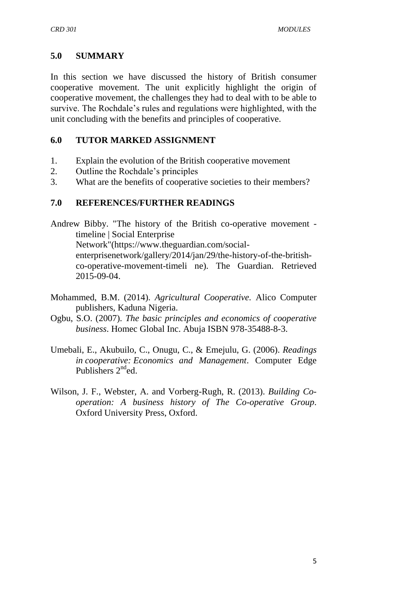## **5.0 SUMMARY**

In this section we have discussed the history of British consumer cooperative movement. The unit explicitly highlight the origin of cooperative movement, the challenges they had to deal with to be able to survive. The Rochdale"s rules and regulations were highlighted, with the unit concluding with the benefits and principles of cooperative.

## **6.0 TUTOR MARKED ASSIGNMENT**

- 1. Explain the evolution of the British cooperative movement
- 2. Outline the Rochdale"s principles
- 3. What are the benefits of cooperative societies to their members?

## **7.0 REFERENCES/FURTHER READINGS**

Andrew Bibby. "The history of the British co-operative movement timeline | Social Enterprise Network"[\(https://www.theguardian.com/social](https://www.theguardian.com/social-enterprise)[enterprisen](https://www.theguardian.com/social-enterprise)etwork/gallery/2014/jan/29/the-history-of-the-britishco-operative-movement-timeli ne). The Guardian. Retrieved 2015-09-04.

- Mohammed, B.M. (2014). *Agricultural Cooperative.* Alico Computer publishers, Kaduna Nigeria.
- Ogbu, S.O. (2007). *The basic principles and economics of cooperative business*. Homec Global Inc. Abuja ISBN 978-35488-8-3.
- Umebali, E., Akubuilo, C., Onugu, C., & Emejulu, G. (2006). *Readings in cooperative: Economics and Management*. Computer Edge Publishers  $2^{nd}$ ed.
- Wilson, J. F., Webster, A. and Vorberg-Rugh, R. (2013). *Building Cooperation: A business history of The Co-operative Group*. Oxford University Press, Oxford.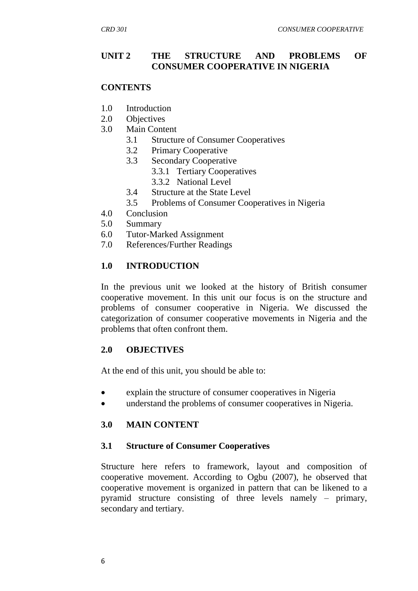#### **UNIT 2 THE STRUCTURE AND PROBLEMS OF CONSUMER COOPERATIVE IN NIGERIA**

#### **CONTENTS**

- 1.0 Introduction
- 2.0 Objectives
- 3.0 Main Content
	- 3.1 Structure of Consumer Cooperatives
	- 3.2 Primary Cooperative
	- 3.3 Secondary Cooperative
		- 3.3.1 Tertiary Cooperatives
		- 3.3.2 National Level
	- 3.4 Structure at the State Level
	- 3.5 Problems of Consumer Cooperatives in Nigeria
- 4.0 Conclusion
- 5.0 Summary
- 6.0 Tutor-Marked Assignment
- 7.0 References/Further Readings

#### **1.0 INTRODUCTION**

In the previous unit we looked at the history of British consumer cooperative movement. In this unit our focus is on the structure and problems of consumer cooperative in Nigeria. We discussed the categorization of consumer cooperative movements in Nigeria and the problems that often confront them.

#### **2.0 OBJECTIVES**

At the end of this unit, you should be able to:

- explain the structure of consumer cooperatives in Nigeria
- understand the problems of consumer cooperatives in Nigeria.

#### **3.0 MAIN CONTENT**

#### **3.1 Structure of Consumer Cooperatives**

Structure here refers to framework, layout and composition of cooperative movement. According to Ogbu (2007), he observed that cooperative movement is organized in pattern that can be likened to a pyramid structure consisting of three levels namely – primary, secondary and tertiary.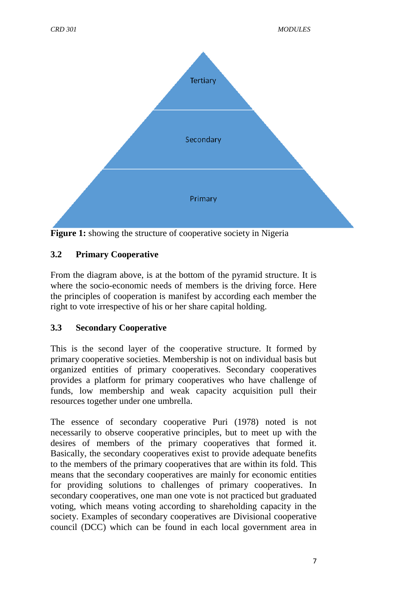

**Figure 1:** showing the structure of cooperative society in Nigeria

## **3.2 Primary Cooperative**

From the diagram above, is at the bottom of the pyramid structure. It is where the socio-economic needs of members is the driving force. Here the principles of cooperation is manifest by according each member the right to vote irrespective of his or her share capital holding.

## **3.3 Secondary Cooperative**

This is the second layer of the cooperative structure. It formed by primary cooperative societies. Membership is not on individual basis but organized entities of primary cooperatives. Secondary cooperatives provides a platform for primary cooperatives who have challenge of funds, low membership and weak capacity acquisition pull their resources together under one umbrella.

The essence of secondary cooperative Puri (1978) noted is not necessarily to observe cooperative principles, but to meet up with the desires of members of the primary cooperatives that formed it. Basically, the secondary cooperatives exist to provide adequate benefits to the members of the primary cooperatives that are within its fold. This means that the secondary cooperatives are mainly for economic entities for providing solutions to challenges of primary cooperatives. In secondary cooperatives, one man one vote is not practiced but graduated voting, which means voting according to shareholding capacity in the society. Examples of secondary cooperatives are Divisional cooperative council (DCC) which can be found in each local government area in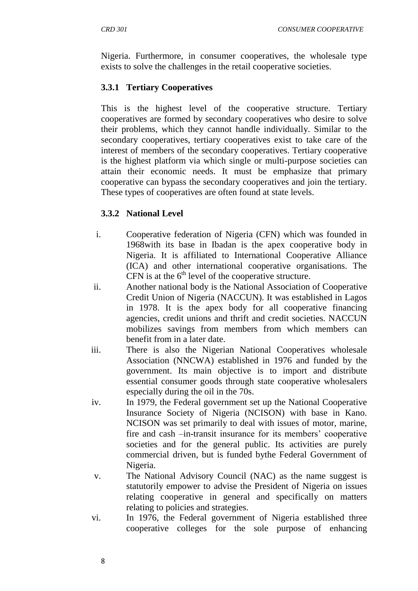Nigeria. Furthermore, in consumer cooperatives, the wholesale type exists to solve the challenges in the retail cooperative societies.

## **3.3.1 Tertiary Cooperatives**

This is the highest level of the cooperative structure. Tertiary cooperatives are formed by secondary cooperatives who desire to solve their problems, which they cannot handle individually. Similar to the secondary cooperatives, tertiary cooperatives exist to take care of the interest of members of the secondary cooperatives. Tertiary cooperative is the highest platform via which single or multi-purpose societies can attain their economic needs. It must be emphasize that primary cooperative can bypass the secondary cooperatives and join the tertiary. These types of cooperatives are often found at state levels.

## **3.3.2 National Level**

- i. Cooperative federation of Nigeria (CFN) which was founded in 1968with its base in Ibadan is the apex cooperative body in Nigeria. It is affiliated to International Cooperative Alliance (ICA) and other international cooperative organisations. The CFN is at the  $6<sup>th</sup>$  level of the cooperative structure.
- ii. Another national body is the National Association of Cooperative Credit Union of Nigeria (NACCUN). It was established in Lagos in 1978. It is the apex body for all cooperative financing agencies, credit unions and thrift and credit societies. NACCUN mobilizes savings from members from which members can benefit from in a later date.
- iii. There is also the Nigerian National Cooperatives wholesale Association (NNCWA) established in 1976 and funded by the government. Its main objective is to import and distribute essential consumer goods through state cooperative wholesalers especially during the oil in the 70s.
- iv. In 1979, the Federal government set up the National Cooperative Insurance Society of Nigeria (NCISON) with base in Kano. NCISON was set primarily to deal with issues of motor, marine, fire and cash –in-transit insurance for its members' cooperative societies and for the general public. Its activities are purely commercial driven, but is funded bythe Federal Government of Nigeria.
- v. The National Advisory Council (NAC) as the name suggest is statutorily empower to advise the President of Nigeria on issues relating cooperative in general and specifically on matters relating to policies and strategies.
- vi. In 1976, the Federal government of Nigeria established three cooperative colleges for the sole purpose of enhancing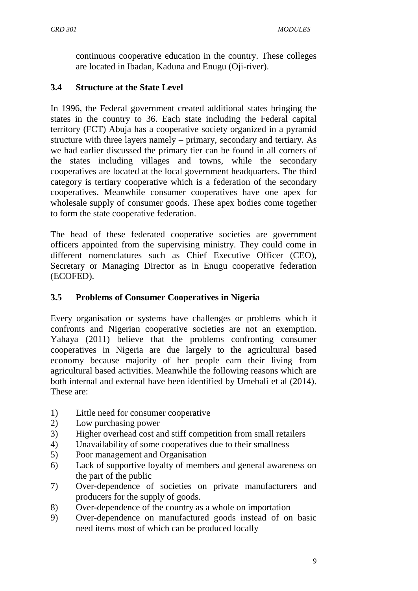continuous cooperative education in the country. These colleges are located in Ibadan, Kaduna and Enugu (Oji-river).

## **3.4 Structure at the State Level**

In 1996, the Federal government created additional states bringing the states in the country to 36. Each state including the Federal capital territory (FCT) Abuja has a cooperative society organized in a pyramid structure with three layers namely – primary, secondary and tertiary. As we had earlier discussed the primary tier can be found in all corners of the states including villages and towns, while the secondary cooperatives are located at the local government headquarters. The third category is tertiary cooperative which is a federation of the secondary cooperatives. Meanwhile consumer cooperatives have one apex for wholesale supply of consumer goods. These apex bodies come together to form the state cooperative federation.

The head of these federated cooperative societies are government officers appointed from the supervising ministry. They could come in different nomenclatures such as Chief Executive Officer (CEO), Secretary or Managing Director as in Enugu cooperative federation (ECOFED).

## **3.5 Problems of Consumer Cooperatives in Nigeria**

Every organisation or systems have challenges or problems which it confronts and Nigerian cooperative societies are not an exemption. Yahaya (2011) believe that the problems confronting consumer cooperatives in Nigeria are due largely to the agricultural based economy because majority of her people earn their living from agricultural based activities. Meanwhile the following reasons which are both internal and external have been identified by Umebali et al (2014). These are:

- 1) Little need for consumer cooperative
- 2) Low purchasing power
- 3) Higher overhead cost and stiff competition from small retailers
- 4) Unavailability of some cooperatives due to their smallness
- 5) Poor management and Organisation
- 6) Lack of supportive loyalty of members and general awareness on the part of the public
- 7) Over-dependence of societies on private manufacturers and producers for the supply of goods.
- 8) Over-dependence of the country as a whole on importation
- 9) Over-dependence on manufactured goods instead of on basic need items most of which can be produced locally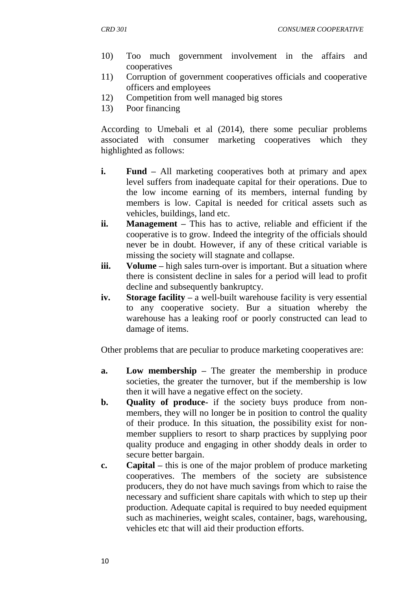- 10) Too much government involvement in the affairs and cooperatives
- 11) Corruption of government cooperatives officials and cooperative officers and employees
- 12) Competition from well managed big stores
- 13) Poor financing

According to Umebali et al (2014), there some peculiar problems associated with consumer marketing cooperatives which they highlighted as follows:

- **i. Fund** All marketing cooperatives both at primary and apex level suffers from inadequate capital for their operations. Due to the low income earning of its members, internal funding by members is low. Capital is needed for critical assets such as vehicles, buildings, land etc.
- **ii. Management –** This has to active, reliable and efficient if the cooperative is to grow. Indeed the integrity of the officials should never be in doubt. However, if any of these critical variable is missing the society will stagnate and collapse.
- **iii. Volume** high sales turn-over is important. But a situation where there is consistent decline in sales for a period will lead to profit decline and subsequently bankruptcy.
- **iv. Storage facility –** a well-built warehouse facility is very essential to any cooperative society. Bur a situation whereby the warehouse has a leaking roof or poorly constructed can lead to damage of items.

Other problems that are peculiar to produce marketing cooperatives are:

- **a. Low membership –** The greater the membership in produce societies, the greater the turnover, but if the membership is low then it will have a negative effect on the society.
- **b. Quality of produce-** if the society buys produce from nonmembers, they will no longer be in position to control the quality of their produce. In this situation, the possibility exist for nonmember suppliers to resort to sharp practices by supplying poor quality produce and engaging in other shoddy deals in order to secure better bargain.
- **c. Capital –** this is one of the major problem of produce marketing cooperatives. The members of the society are subsistence producers, they do not have much savings from which to raise the necessary and sufficient share capitals with which to step up their production. Adequate capital is required to buy needed equipment such as machineries, weight scales, container, bags, warehousing, vehicles etc that will aid their production efforts.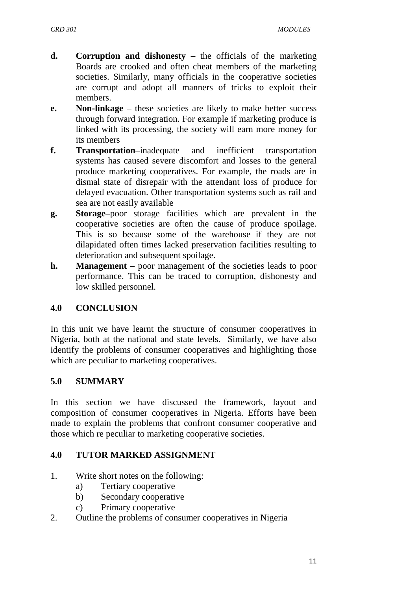- **d. Corruption and dishonesty –** the officials of the marketing Boards are crooked and often cheat members of the marketing societies. Similarly, many officials in the cooperative societies are corrupt and adopt all manners of tricks to exploit their members.
- **e. Non-linkage –** these societies are likely to make better success through forward integration. For example if marketing produce is linked with its processing, the society will earn more money for its members
- **f. Transportation–**inadequate and inefficient transportation systems has caused severe discomfort and losses to the general produce marketing cooperatives. For example, the roads are in dismal state of disrepair with the attendant loss of produce for delayed evacuation. Other transportation systems such as rail and sea are not easily available
- **g. Storage–**poor storage facilities which are prevalent in the cooperative societies are often the cause of produce spoilage. This is so because some of the warehouse if they are not dilapidated often times lacked preservation facilities resulting to deterioration and subsequent spoilage.
- **h. Management –** poor management of the societies leads to poor performance. This can be traced to corruption, dishonesty and low skilled personnel.

## **4.0 CONCLUSION**

In this unit we have learnt the structure of consumer cooperatives in Nigeria, both at the national and state levels. Similarly, we have also identify the problems of consumer cooperatives and highlighting those which are peculiar to marketing cooperatives.

## **5.0 SUMMARY**

In this section we have discussed the framework, layout and composition of consumer cooperatives in Nigeria. Efforts have been made to explain the problems that confront consumer cooperative and those which re peculiar to marketing cooperative societies.

## **4.0 TUTOR MARKED ASSIGNMENT**

- 1. Write short notes on the following:
	- a) Tertiary cooperative
	- b) Secondary cooperative
	- c) Primary cooperative
- 2. Outline the problems of consumer cooperatives in Nigeria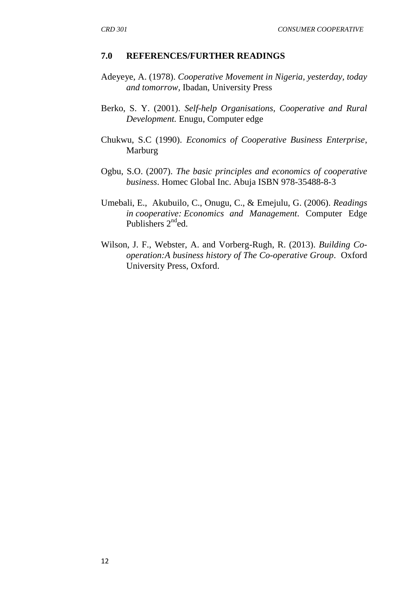#### **7.0 REFERENCES/FURTHER READINGS**

- Adeyeye, A. (1978). *Cooperative Movement in Nigeria, yesterday, today and tomorrow,* Ibadan, University Press
- Berko, S. Y. (2001). *Self-help Organisations, Cooperative and Rural Development.* Enugu, Computer edge
- Chukwu, S.C (1990). *Economics of Cooperative Business Enterprise*, Marburg
- Ogbu, S.O. (2007). *The basic principles and economics of cooperative business*. Homec Global Inc. Abuja ISBN 978-35488-8-3
- Umebali, E., Akubuilo, C., Onugu, C., & Emejulu, G. (2006). *Readings in cooperative: Economics and Management*. Computer Edge Publishers 2<sup>nd</sup>ed.
- Wilson, J. F., Webster, A. and Vorberg-Rugh, R. (2013). *Building Cooperation:A business history of The Co-operative Group*. Oxford University Press, Oxford.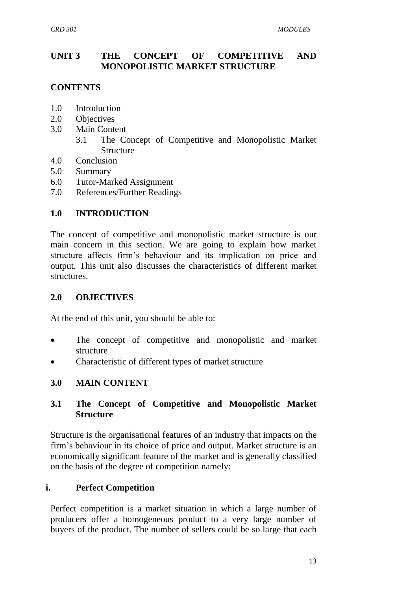## **UNIT 3 THE CONCEPT OF COMPETITIVE AND MONOPOLISTIC MARKET STRUCTURE**

## **CONTENTS**

- 1.0 Introduction
- 2.0 Objectives
- 3.0 Main Content
	- 3.1 The Concept of Competitive and Monopolistic Market Structure
- 4.0 Conclusion
- 5.0 Summary
- 6.0 Tutor-Marked Assignment
- 7.0 References/Further Readings

## **1.0 INTRODUCTION**

The concept of competitive and monopolistic market structure is our main concern in this section. We are going to explain how market structure affects firm"s behaviour and its implication on price and output. This unit also discusses the characteristics of different market structures.

## **2.0 OBJECTIVES**

At the end of this unit, you should be able to:

- The concept of competitive and monopolistic and market structure
- Characteristic of different types of market structure

## **3.0 MAIN CONTENT**

## **3.1 The Concept of Competitive and Monopolistic Market Structure**

Structure is the organisational features of an industry that impacts on the firm"s behaviour in its choice of price and output. Market structure is an economically significant feature of the market and is generally classified on the basis of the degree of competition namely:

## **i. Perfect Competition**

Perfect competition is a market situation in which a large number of producers offer a homogeneous product to a very large number of buyers of the product. The number of sellers could be so large that each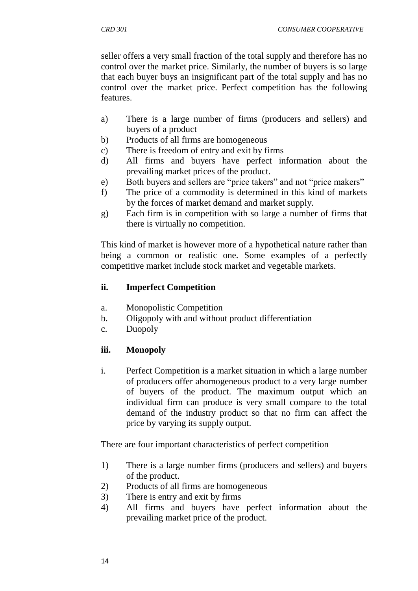seller offers a very small fraction of the total supply and therefore has no control over the market price. Similarly, the number of buyers is so large that each buyer buys an insignificant part of the total supply and has no control over the market price. Perfect competition has the following features.

- a) There is a large number of firms (producers and sellers) and buyers of a product
- b) Products of all firms are homogeneous
- c) There is freedom of entry and exit by firms
- d) All firms and buyers have perfect information about the prevailing market prices of the product.
- e) Both buyers and sellers are "price takers" and not "price makers"
- f) The price of a commodity is determined in this kind of markets by the forces of market demand and market supply.
- g) Each firm is in competition with so large a number of firms that there is virtually no competition.

This kind of market is however more of a hypothetical nature rather than being a common or realistic one. Some examples of a perfectly competitive market include stock market and vegetable markets.

## **ii. Imperfect Competition**

- a. Monopolistic Competition
- b. Oligopoly with and without product differentiation
- c. Duopoly

## **iii. Monopoly**

i. Perfect Competition is a market situation in which a large number of producers offer ahomogeneous product to a very large number of buyers of the product. The maximum output which an individual firm can produce is very small compare to the total demand of the industry product so that no firm can affect the price by varying its supply output.

There are four important characteristics of perfect competition

- 1) There is a large number firms (producers and sellers) and buyers of the product.
- 2) Products of all firms are homogeneous
- 3) There is entry and exit by firms
- 4) All firms and buyers have perfect information about the prevailing market price of the product.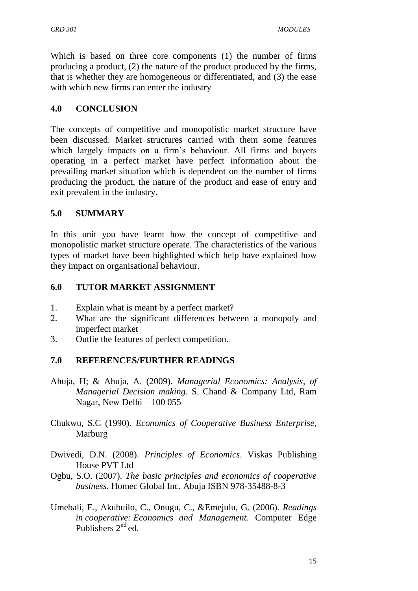Which is based on three core components (1) the number of firms producing a product, (2) the nature of the product produced by the firms, that is whether they are homogeneous or differentiated, and (3) the ease with which new firms can enter the industry

## **4.0 CONCLUSION**

The concepts of competitive and monopolistic market structure have been discussed. Market structures carried with them some features which largely impacts on a firm"s behaviour. All firms and buyers operating in a perfect market have perfect information about the prevailing market situation which is dependent on the number of firms producing the product, the nature of the product and ease of entry and exit prevalent in the industry.

## **5.0 SUMMARY**

In this unit you have learnt how the concept of competitive and monopolistic market structure operate. The characteristics of the various types of market have been highlighted which help have explained how they impact on organisational behaviour.

## **6.0 TUTOR MARKET ASSIGNMENT**

- 1. Explain what is meant by a perfect market?
- 2. What are the significant differences between a monopoly and imperfect market
- 3. Outlie the features of perfect competition.

## **7.0 REFERENCES/FURTHER READINGS**

- Ahuja, H; & Ahuja, A. (2009). *Managerial Economics: Analysis, of Managerial Decision making*. S. Chand & Company Ltd, Ram Nagar, New Delhi – 100 055
- Chukwu, S.C (1990). *Economics of Cooperative Business Enterprise*, Marburg
- Dwivedi, D.N. (2008). *Principles of Economics*. Viskas Publishing House PVT Ltd
- Ogbu, S.O. (2007). *The basic principles and economics of cooperative business*. Homec Global Inc. Abuja ISBN 978-35488-8-3
- Umebali, E., Akubuilo, C., Onugu, C., &Emejulu, G. (2006). *Readings in cooperative: Economics and Management*. Computer Edge Publishers  $2<sup>nd</sup>$ ed.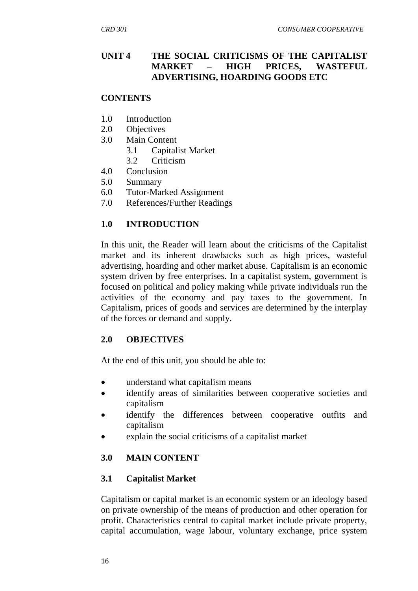## **UNIT 4 THE SOCIAL CRITICISMS OF THE CAPITALIST MARKET – HIGH PRICES, WASTEFUL ADVERTISING, HOARDING GOODS ETC**

## **CONTENTS**

- 1.0 Introduction
- 2.0 Objectives
- 3.0 Main Content
	- 3.1 Capitalist Market
	- 3.2 Criticism
- 4.0 Conclusion
- 5.0 Summary
- 6.0 Tutor-Marked Assignment
- 7.0 References/Further Readings

## **1.0 INTRODUCTION**

In this unit, the Reader will learn about the criticisms of the Capitalist market and its inherent drawbacks such as high prices, wasteful advertising, hoarding and other market abuse. Capitalism is an economic system driven by free enterprises. In a capitalist system, government is focused on political and policy making while private individuals run the activities of the economy and pay taxes to the government. In Capitalism, prices of goods and services are determined by the interplay of the forces or demand and supply.

#### **2.0 OBJECTIVES**

At the end of this unit, you should be able to:

- understand what capitalism means
- identify areas of similarities between cooperative societies and capitalism
- identify the differences between cooperative outfits and capitalism
- explain the social criticisms of a capitalist market

## **3.0 MAIN CONTENT**

## **3.1 Capitalist Market**

Capitalism or capital market is an economic system or an ideology based on private ownership of the means of production and other operation for profit. Characteristics central to capital market include private property, capital accumulation, wage labour, voluntary exchange, price system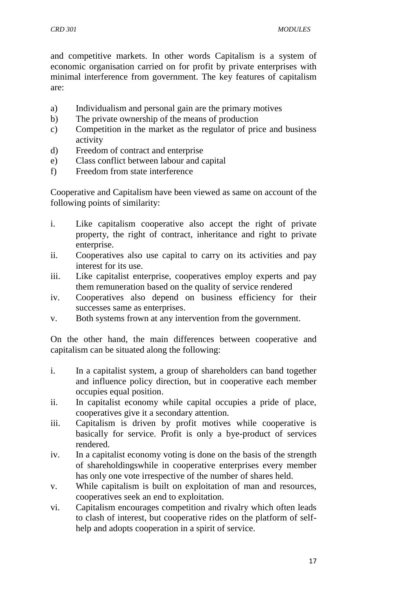and competitive markets. In other words Capitalism is a system of economic organisation carried on for profit by private enterprises with minimal interference from government. The key features of capitalism are:

- a) Individualism and personal gain are the primary motives
- b) The private ownership of the means of production
- c) Competition in the market as the regulator of price and business activity
- d) Freedom of contract and enterprise
- e) Class conflict between labour and capital
- f) Freedom from state interference

Cooperative and Capitalism have been viewed as same on account of the following points of similarity:

- i. Like capitalism cooperative also accept the right of private property, the right of contract, inheritance and right to private enterprise.
- ii. Cooperatives also use capital to carry on its activities and pay interest for its use.
- iii. Like capitalist enterprise, cooperatives employ experts and pay them remuneration based on the quality of service rendered
- iv. Cooperatives also depend on business efficiency for their successes same as enterprises.
- v. Both systems frown at any intervention from the government.

On the other hand, the main differences between cooperative and capitalism can be situated along the following:

- i. In a capitalist system, a group of shareholders can band together and influence policy direction, but in cooperative each member occupies equal position.
- ii. In capitalist economy while capital occupies a pride of place, cooperatives give it a secondary attention.
- iii. Capitalism is driven by profit motives while cooperative is basically for service. Profit is only a bye-product of services rendered.
- iv. In a capitalist economy voting is done on the basis of the strength of shareholdingswhile in cooperative enterprises every member has only one vote irrespective of the number of shares held.
- v. While capitalism is built on exploitation of man and resources, cooperatives seek an end to exploitation.
- vi. Capitalism encourages competition and rivalry which often leads to clash of interest, but cooperative rides on the platform of selfhelp and adopts cooperation in a spirit of service.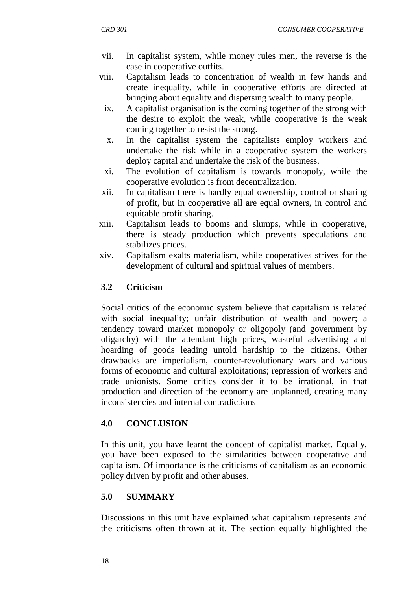- vii. In capitalist system, while money rules men, the reverse is the case in cooperative outfits.
- viii. Capitalism leads to concentration of wealth in few hands and create inequality, while in cooperative efforts are directed at bringing about equality and dispersing wealth to many people.
	- ix. A capitalist organisation is the coming together of the strong with the desire to exploit the weak, while cooperative is the weak coming together to resist the strong.
	- x. In the capitalist system the capitalists employ workers and undertake the risk while in a cooperative system the workers deploy capital and undertake the risk of the business.
- xi. The evolution of capitalism is towards monopoly, while the cooperative evolution is from decentralization.
- xii. In capitalism there is hardly equal ownership, control or sharing of profit, but in cooperative all are equal owners, in control and equitable profit sharing.
- xiii. Capitalism leads to booms and slumps, while in cooperative, there is steady production which prevents speculations and stabilizes prices.
- xiv. Capitalism exalts materialism, while cooperatives strives for the development of cultural and spiritual values of members.

## **3.2 Criticism**

Social critics of the economic system believe that capitalism is related with social inequality; unfair distribution of wealth and power; a tendency toward market monopoly or oligopoly (and government by oligarchy) with the attendant high prices, wasteful advertising and hoarding of goods leading untold hardship to the citizens. Other drawbacks are imperialism, counter-revolutionary wars and various forms of economic and cultural exploitations; repression of workers and trade unionists. Some critics consider it to be irrational, in that production and direction of the economy are unplanned, creating many inconsistencies and internal contradictions

## **4.0 CONCLUSION**

In this unit, you have learnt the concept of capitalist market. Equally, you have been exposed to the similarities between cooperative and capitalism. Of importance is the criticisms of capitalism as an economic policy driven by profit and other abuses.

## **5.0 SUMMARY**

Discussions in this unit have explained what capitalism represents and the criticisms often thrown at it. The section equally highlighted the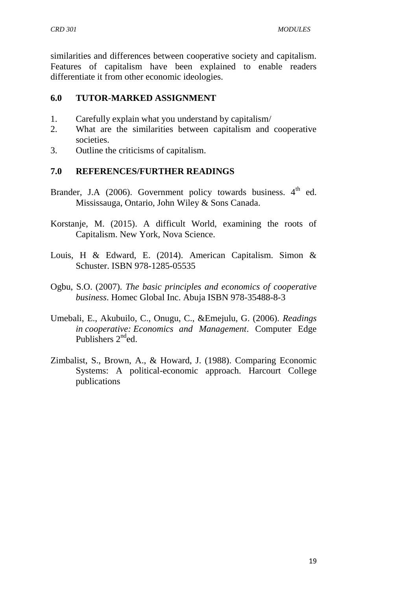similarities and differences between cooperative society and capitalism. Features of capitalism have been explained to enable readers differentiate it from other economic ideologies.

## **6.0 TUTOR-MARKED ASSIGNMENT**

- 1. Carefully explain what you understand by capitalism/
- 2. What are the similarities between capitalism and cooperative societies.
- 3. Outline the criticisms of capitalism.

## **7.0 REFERENCES/FURTHER READINGS**

- Brander, J.A (2006). Government policy towards business. 4<sup>th</sup> ed. Mississauga, Ontario, John Wiley & Sons Canada.
- Korstanje, M. (2015). A difficult World, examining the roots of Capitalism. New York, Nova Science.
- Louis, H & Edward, E. (2014). American Capitalism. Simon & Schuster. ISBN 978-1285-05535
- Ogbu, S.O. (2007). *The basic principles and economics of cooperative business*. Homec Global Inc. Abuja ISBN 978-35488-8-3
- Umebali, E., Akubuilo, C., Onugu, C., &Emejulu, G. (2006). *Readings in cooperative: Economics and Management*. Computer Edge Publishers  $2<sup>nd</sup>$ ed.
- Zimbalist, S., Brown, A., & Howard, J. (1988). Comparing Economic Systems: A political-economic approach. Harcourt College publications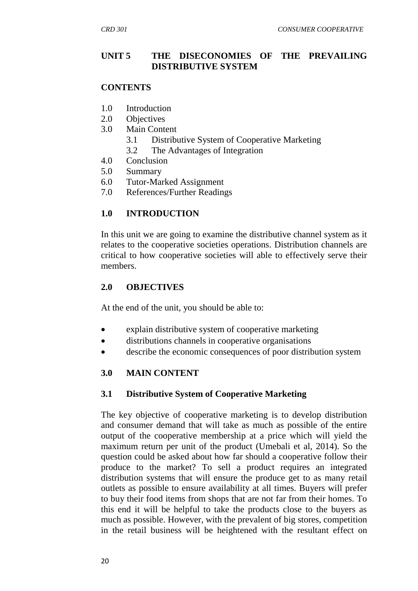## **UNIT 5 THE DISECONOMIES OF THE PREVAILING DISTRIBUTIVE SYSTEM**

#### **CONTENTS**

- 1.0 Introduction
- 2.0 Objectives
- 3.0 Main Content
	- 3.1 Distributive System of Cooperative Marketing
	- 3.2 The Advantages of Integration
- 4.0 Conclusion
- 5.0 Summary
- 6.0 Tutor-Marked Assignment
- 7.0 References/Further Readings

## **1.0 INTRODUCTION**

In this unit we are going to examine the distributive channel system as it relates to the cooperative societies operations. Distribution channels are critical to how cooperative societies will able to effectively serve their members.

## **2.0 OBJECTIVES**

At the end of the unit, you should be able to:

- explain distributive system of cooperative marketing
- distributions channels in cooperative organisations
- describe the economic consequences of poor distribution system

## **3.0 MAIN CONTENT**

#### **3.1 Distributive System of Cooperative Marketing**

The key objective of cooperative marketing is to develop distribution and consumer demand that will take as much as possible of the entire output of the cooperative membership at a price which will yield the maximum return per unit of the product (Umebali et al, 2014). So the question could be asked about how far should a cooperative follow their produce to the market? To sell a product requires an integrated distribution systems that will ensure the produce get to as many retail outlets as possible to ensure availability at all times. Buyers will prefer to buy their food items from shops that are not far from their homes. To this end it will be helpful to take the products close to the buyers as much as possible. However, with the prevalent of big stores, competition in the retail business will be heightened with the resultant effect on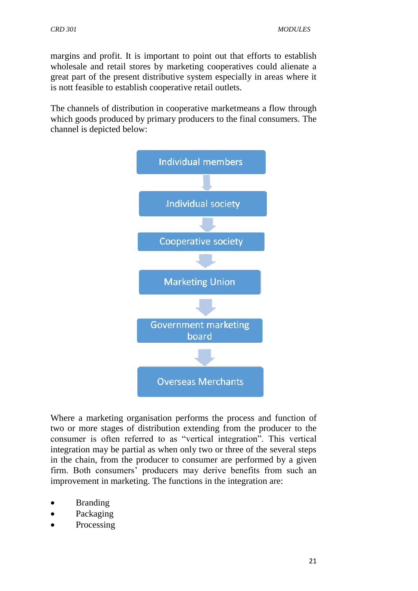margins and profit. It is important to point out that efforts to establish wholesale and retail stores by marketing cooperatives could alienate a great part of the present distributive system especially in areas where it is nott feasible to establish cooperative retail outlets.

The channels of distribution in cooperative marketmeans a flow through which goods produced by primary producers to the final consumers. The channel is depicted below:



Where a marketing organisation performs the process and function of two or more stages of distribution extending from the producer to the consumer is often referred to as "vertical integration". This vertical integration may be partial as when only two or three of the several steps in the chain, from the producer to consumer are performed by a given firm. Both consumers' producers may derive benefits from such an improvement in marketing. The functions in the integration are:

- Branding
- Packaging
- Processing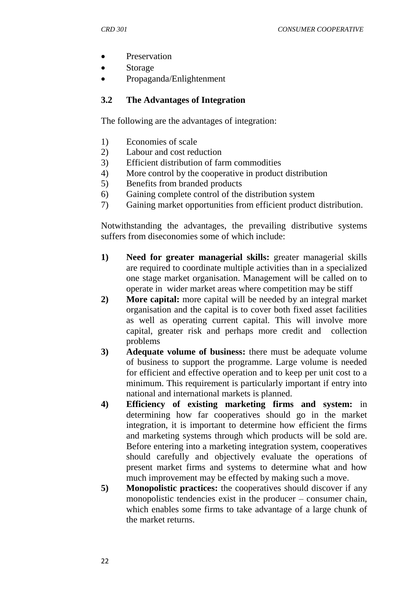- Preservation
- Storage
- Propaganda/Enlightenment

## **3.2 The Advantages of Integration**

The following are the advantages of integration:

- 1) Economies of scale
- 2) Labour and cost reduction
- 3) Efficient distribution of farm commodities
- 4) More control by the cooperative in product distribution
- 5) Benefits from branded products
- 6) Gaining complete control of the distribution system
- 7) Gaining market opportunities from efficient product distribution.

Notwithstanding the advantages, the prevailing distributive systems suffers from diseconomies some of which include:

- **1) Need for greater managerial skills:** greater managerial skills are required to coordinate multiple activities than in a specialized one stage market organisation. Management will be called on to operate in wider market areas where competition may be stiff
- **2) More capital:** more capital will be needed by an integral market organisation and the capital is to cover both fixed asset facilities as well as operating current capital. This will involve more capital, greater risk and perhaps more credit and collection problems
- **3) Adequate volume of business:** there must be adequate volume of business to support the programme. Large volume is needed for efficient and effective operation and to keep per unit cost to a minimum. This requirement is particularly important if entry into national and international markets is planned.
- **4) Efficiency of existing marketing firms and system:** in determining how far cooperatives should go in the market integration, it is important to determine how efficient the firms and marketing systems through which products will be sold are. Before entering into a marketing integration system, cooperatives should carefully and objectively evaluate the operations of present market firms and systems to determine what and how much improvement may be effected by making such a move.
- **5) Monopolistic practices:** the cooperatives should discover if any monopolistic tendencies exist in the producer – consumer chain, which enables some firms to take advantage of a large chunk of the market returns.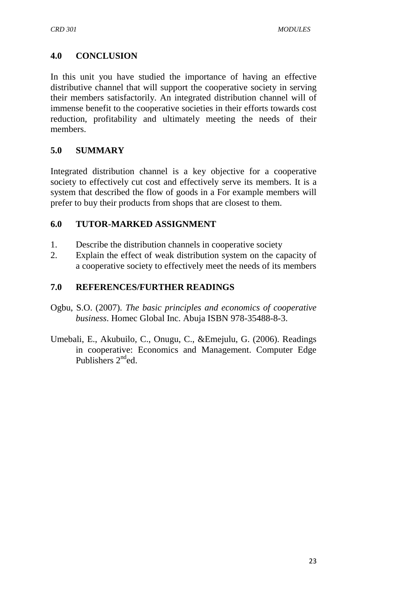## **4.0 CONCLUSION**

In this unit you have studied the importance of having an effective distributive channel that will support the cooperative society in serving their members satisfactorily. An integrated distribution channel will of immense benefit to the cooperative societies in their efforts towards cost reduction, profitability and ultimately meeting the needs of their members.

## **5.0 SUMMARY**

Integrated distribution channel is a key objective for a cooperative society to effectively cut cost and effectively serve its members. It is a system that described the flow of goods in a For example members will prefer to buy their products from shops that are closest to them.

## **6.0 TUTOR-MARKED ASSIGNMENT**

- 1. Describe the distribution channels in cooperative society
- 2. Explain the effect of weak distribution system on the capacity of a cooperative society to effectively meet the needs of its members

## **7.0 REFERENCES/FURTHER READINGS**

- Ogbu, S.O. (2007). *The basic principles and economics of cooperative business*. Homec Global Inc. Abuja ISBN 978-35488-8-3.
- Umebali, E., Akubuilo, C., Onugu, C., &Emejulu, G. (2006). Readings in cooperative: Economics and Management. Computer Edge Publishers  $2^{nd}$ ed.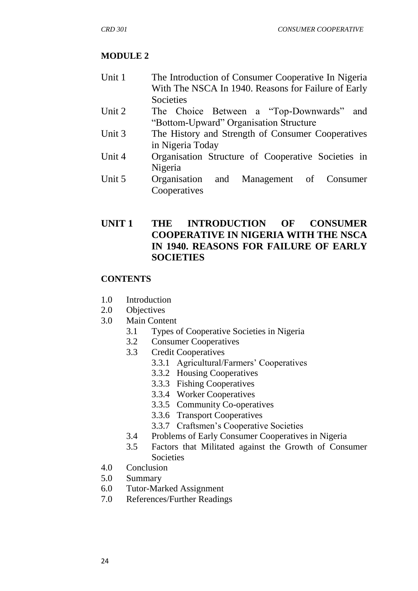## **MODULE 2**

- Unit 1 The Introduction of Consumer Cooperative In Nigeria With The NSCA In 1940. Reasons for Failure of Early Societies
- Unit 2 The Choice Between a "Top-Downwards" and "Bottom-Upward" Organisation Structure
- Unit 3 The History and Strength of Consumer Cooperatives in Nigeria Today
- Unit 4 Organisation Structure of Cooperative Societies in Nigeria
- Unit 5 Organisation and Management of Consumer Cooperatives

## **UNIT 1 THE INTRODUCTION OF CONSUMER COOPERATIVE IN NIGERIA WITH THE NSCA IN 1940. REASONS FOR FAILURE OF EARLY SOCIETIES**

## **CONTENTS**

- 1.0 Introduction
- 2.0 Objectives
- 3.0 Main Content
	- 3.1 Types of Cooperative Societies in Nigeria
	- 3.2 Consumer Cooperatives
	- 3.3 Credit Cooperatives
		- 3.3.1 Agricultural/Farmers" Cooperatives
		- 3.3.2 Housing Cooperatives
		- 3.3.3 Fishing Cooperatives
		- 3.3.4 Worker Cooperatives
		- 3.3.5 Community Co-operatives
		- 3.3.6 Transport Cooperatives
		- 3.3.7 Craftsmen"s Cooperative Societies
	- 3.4 Problems of Early Consumer Cooperatives in Nigeria
	- 3.5 Factors that Militated against the Growth of Consumer Societies
- 4.0 Conclusion
- 5.0 Summary
- 6.0 Tutor-Marked Assignment
- 7.0 References/Further Readings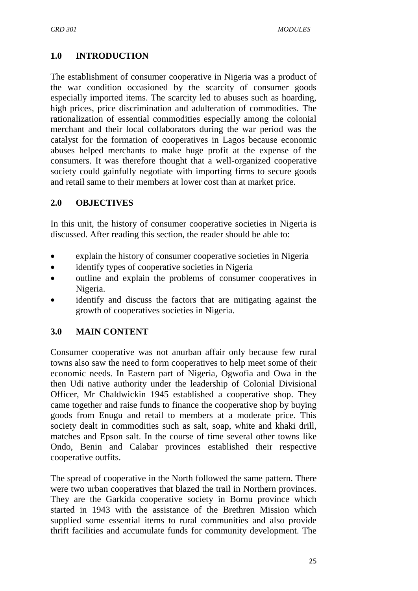## **1.0 INTRODUCTION**

The establishment of consumer cooperative in Nigeria was a product of the war condition occasioned by the scarcity of consumer goods especially imported items. The scarcity led to abuses such as hoarding, high prices, price discrimination and adulteration of commodities. The rationalization of essential commodities especially among the colonial merchant and their local collaborators during the war period was the catalyst for the formation of cooperatives in Lagos because economic abuses helped merchants to make huge profit at the expense of the consumers. It was therefore thought that a well-organized cooperative society could gainfully negotiate with importing firms to secure goods and retail same to their members at lower cost than at market price.

### **2.0 OBJECTIVES**

In this unit, the history of consumer cooperative societies in Nigeria is discussed. After reading this section, the reader should be able to:

- explain the history of consumer cooperative societies in Nigeria
- identify types of cooperative societies in Nigeria
- outline and explain the problems of consumer cooperatives in Nigeria.
- identify and discuss the factors that are mitigating against the growth of cooperatives societies in Nigeria.

## **3.0 MAIN CONTENT**

Consumer cooperative was not anurban affair only because few rural towns also saw the need to form cooperatives to help meet some of their economic needs. In Eastern part of Nigeria, Ogwofia and Owa in the then Udi native authority under the leadership of Colonial Divisional Officer, Mr Chaldwickin 1945 established a cooperative shop. They came together and raise funds to finance the cooperative shop by buying goods from Enugu and retail to members at a moderate price. This society dealt in commodities such as salt, soap, white and khaki drill, matches and Epson salt. In the course of time several other towns like Ondo, Benin and Calabar provinces established their respective cooperative outfits.

The spread of cooperative in the North followed the same pattern. There were two urban cooperatives that blazed the trail in Northern provinces. They are the Garkida cooperative society in Bornu province which started in 1943 with the assistance of the Brethren Mission which supplied some essential items to rural communities and also provide thrift facilities and accumulate funds for community development. The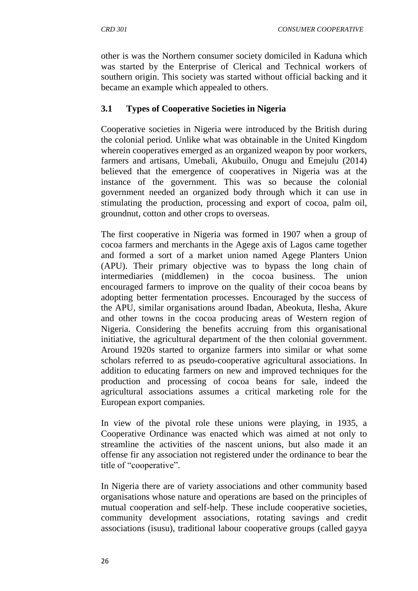other is was the Northern consumer society domiciled in Kaduna which was started by the Enterprise of Clerical and Technical workers of southern origin. This society was started without official backing and it became an example which appealed to others.

## **3.1 Types of Cooperative Societies in Nigeria**

Cooperative societies in Nigeria were introduced by the British during the colonial period. Unlike what was obtainable in the United Kingdom wherein cooperatives emerged as an organized weapon by poor workers, farmers and artisans, Umebali, Akubuilo, Onugu and Emejulu (2014) believed that the emergence of cooperatives in Nigeria was at the instance of the government. This was so because the colonial government needed an organized body through which it can use in stimulating the production, processing and export of cocoa, palm oil, groundnut, cotton and other crops to overseas.

The first cooperative in Nigeria was formed in 1907 when a group of cocoa farmers and merchants in the Agege axis of Lagos came together and formed a sort of a market union named Agege Planters Union (APU). Their primary objective was to bypass the long chain of intermediaries (middlemen) in the cocoa business. The union encouraged farmers to improve on the quality of their cocoa beans by adopting better fermentation processes. Encouraged by the success of the APU, similar organisations around Ibadan, Abeokuta, Ilesha, Akure and other towns in the cocoa producing areas of Western region of Nigeria. Considering the benefits accruing from this organisational initiative, the agricultural department of the then colonial government. Around 1920s started to organize farmers into similar or what some scholars referred to as pseudo-cooperative agricultural associations. In addition to educating farmers on new and improved techniques for the production and processing of cocoa beans for sale, indeed the agricultural associations assumes a critical marketing role for the European export companies.

In view of the pivotal role these unions were playing, in 1935, a Cooperative Ordinance was enacted which was aimed at not only to streamline the activities of the nascent unions, but also made it an offense fir any association not registered under the ordinance to bear the title of "cooperative".

In Nigeria there are of variety associations and other community based organisations whose nature and operations are based on the principles of mutual cooperation and self-help. These include cooperative societies, community development associations, rotating savings and credit associations (isusu), traditional labour cooperative groups (called gayya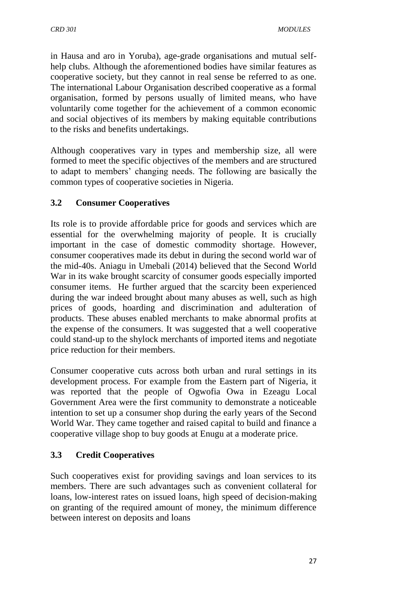in Hausa and aro in Yoruba), age-grade organisations and mutual selfhelp clubs. Although the aforementioned bodies have similar features as cooperative society, but they cannot in real sense be referred to as one. The international Labour Organisation described cooperative as a formal organisation, formed by persons usually of limited means, who have voluntarily come together for the achievement of a common economic and social objectives of its members by making equitable contributions to the risks and benefits undertakings.

Although cooperatives vary in types and membership size, all were formed to meet the specific objectives of the members and are structured to adapt to members" changing needs. The following are basically the common types of cooperative societies in Nigeria.

## **3.2 Consumer Cooperatives**

Its role is to provide affordable price for goods and services which are essential for the overwhelming majority of people. It is crucially important in the case of domestic commodity shortage. However, consumer cooperatives made its debut in during the second world war of the mid-40s. Aniagu in Umebali (2014) believed that the Second World War in its wake brought scarcity of consumer goods especially imported consumer items. He further argued that the scarcity been experienced during the war indeed brought about many abuses as well, such as high prices of goods, hoarding and discrimination and adulteration of products. These abuses enabled merchants to make abnormal profits at the expense of the consumers. It was suggested that a well cooperative could stand-up to the shylock merchants of imported items and negotiate price reduction for their members.

Consumer cooperative cuts across both urban and rural settings in its development process. For example from the Eastern part of Nigeria, it was reported that the people of Ogwofia Owa in Ezeagu Local Government Area were the first community to demonstrate a noticeable intention to set up a consumer shop during the early years of the Second World War. They came together and raised capital to build and finance a cooperative village shop to buy goods at Enugu at a moderate price.

## **3.3 Credit Cooperatives**

Such cooperatives exist for providing savings and loan services to its members. There are such advantages such as convenient collateral for loans, low-interest rates on issued loans, high speed of decision-making on granting of the required amount of money, the minimum difference between interest on deposits and loans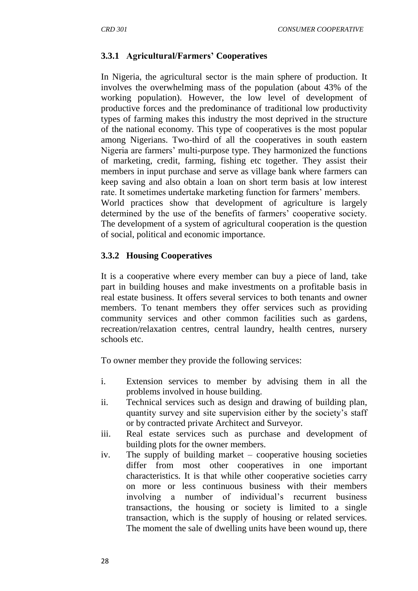## **3.3.1 Agricultural/Farmers' Cooperatives**

In Nigeria, the agricultural sector is the main sphere of production. It involves the overwhelming mass of the population (about 43% of the working population). However, the low level of development of productive forces and the predominance of traditional low productivity types of farming makes this industry the most deprived in the structure of the national economy. This type of cooperatives is the most popular among Nigerians. Two-third of all the cooperatives in south eastern Nigeria are farmers" multi-purpose type. They harmonized the functions of marketing, credit, farming, fishing etc together. They assist their members in input purchase and serve as village bank where farmers can keep saving and also obtain a loan on short term basis at low interest rate. It sometimes undertake marketing function for farmers' members.

World practices show that development of agriculture is largely determined by the use of the benefits of farmers' cooperative society. The development of a system of agricultural cooperation is the question of social, political and economic importance.

## **3.3.2 Housing Cooperatives**

It is a cooperative where every member can buy a piece of land, take part in building houses and make investments on a profitable basis in real estate business. It offers several services to both tenants and owner members. To tenant members they offer services such as providing community services and other common facilities such as gardens, recreation/relaxation centres, central laundry, health centres, nursery schools etc.

To owner member they provide the following services:

- i. Extension services to member by advising them in all the problems involved in house building.
- ii. Technical services such as design and drawing of building plan, quantity survey and site supervision either by the society"s staff or by contracted private Architect and Surveyor.
- iii. Real estate services such as purchase and development of building plots for the owner members.
- iv. The supply of building market cooperative housing societies differ from most other cooperatives in one important characteristics. It is that while other cooperative societies carry on more or less continuous business with their members involving a number of individual's recurrent business transactions, the housing or society is limited to a single transaction, which is the supply of housing or related services. The moment the sale of dwelling units have been wound up, there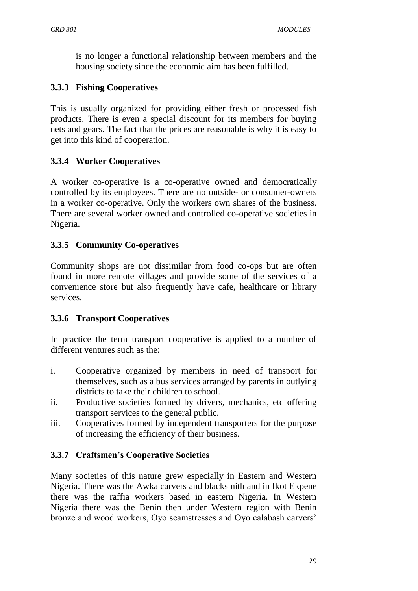is no longer a functional relationship between members and the housing society since the economic aim has been fulfilled.

## **3.3.3 Fishing Cooperatives**

This is usually organized for providing either fresh or processed fish products. There is even a special discount for its members for buying nets and gears. The fact that the prices are reasonable is why it is easy to get into this kind of cooperation.

## **3.3.4 Worker Cooperatives**

A worker co-operative is a co-operative owned and democratically controlled by its employees. There are no outside- or consumer-owners in a worker co-operative. Only the workers own shares of the business. There are several worker owned and controlled co-operative societies in Nigeria.

## **3.3.5 Community Co-operatives**

Community shops are not dissimilar from food co-ops but are often found in more remote villages and provide some of the services of a convenience store but also frequently have cafe, healthcare or library services.

## **3.3.6 Transport Cooperatives**

In practice the term transport cooperative is applied to a number of different ventures such as the:

- i. Cooperative organized by members in need of transport for themselves, such as a bus services arranged by parents in outlying districts to take their children to school.
- ii. Productive societies formed by drivers, mechanics, etc offering transport services to the general public.
- iii. Cooperatives formed by independent transporters for the purpose of increasing the efficiency of their business.

## **3.3.7 Craftsmen's Cooperative Societies**

Many societies of this nature grew especially in Eastern and Western Nigeria. There was the Awka carvers and blacksmith and in Ikot Ekpene there was the raffia workers based in eastern Nigeria. In Western Nigeria there was the Benin then under Western region with Benin bronze and wood workers, Oyo seamstresses and Oyo calabash carvers"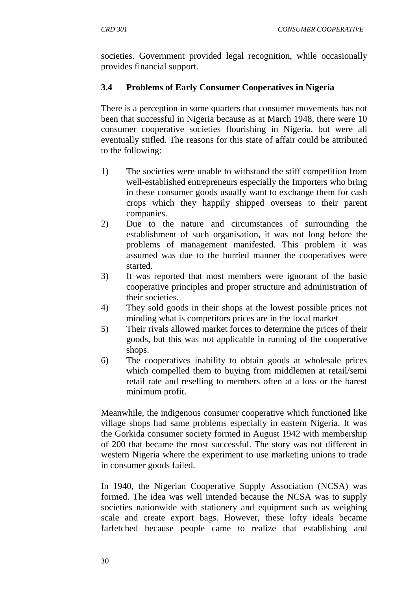societies. Government provided legal recognition, while occasionally provides financial support.

## **3.4 Problems of Early Consumer Cooperatives in Nigeria**

There is a perception in some quarters that consumer movements has not been that successful in Nigeria because as at March 1948, there were 10 consumer cooperative societies flourishing in Nigeria, but were all eventually stifled. The reasons for this state of affair could be attributed to the following:

- 1) The societies were unable to withstand the stiff competition from well-established entrepreneurs especially the Importers who bring in these consumer goods usually want to exchange them for cash crops which they happily shipped overseas to their parent companies.
- 2) Due to the nature and circumstances of surrounding the establishment of such organisation, it was not long before the problems of management manifested. This problem it was assumed was due to the hurried manner the cooperatives were started.
- 3) It was reported that most members were ignorant of the basic cooperative principles and proper structure and administration of their societies.
- 4) They sold goods in their shops at the lowest possible prices not minding what is competitors prices are in the local market
- 5) Their rivals allowed market forces to determine the prices of their goods, but this was not applicable in running of the cooperative shops.
- 6) The cooperatives inability to obtain goods at wholesale prices which compelled them to buying from middlemen at retail/semi retail rate and reselling to members often at a loss or the barest minimum profit.

Meanwhile, the indigenous consumer cooperative which functioned like village shops had same problems especially in eastern Nigeria. It was the Gorkida consumer society formed in August 1942 with membership of 200 that became the most successful. The story was not different in western Nigeria where the experiment to use marketing unions to trade in consumer goods failed.

In 1940, the Nigerian Cooperative Supply Association (NCSA) was formed. The idea was well intended because the NCSA was to supply societies nationwide with stationery and equipment such as weighing scale and create export bags. However, these lofty ideals became farfetched because people came to realize that establishing and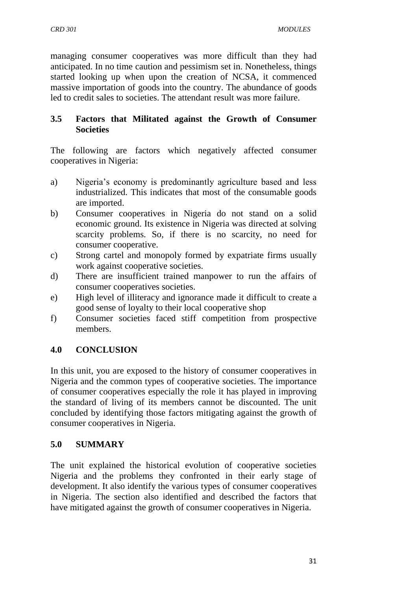managing consumer cooperatives was more difficult than they had anticipated. In no time caution and pessimism set in. Nonetheless, things started looking up when upon the creation of NCSA, it commenced massive importation of goods into the country. The abundance of goods led to credit sales to societies. The attendant result was more failure.

## **3.5 Factors that Militated against the Growth of Consumer Societies**

The following are factors which negatively affected consumer cooperatives in Nigeria:

- a) Nigeria"s economy is predominantly agriculture based and less industrialized. This indicates that most of the consumable goods are imported.
- b) Consumer cooperatives in Nigeria do not stand on a solid economic ground. Its existence in Nigeria was directed at solving scarcity problems. So, if there is no scarcity, no need for consumer cooperative.
- c) Strong cartel and monopoly formed by expatriate firms usually work against cooperative societies.
- d) There are insufficient trained manpower to run the affairs of consumer cooperatives societies.
- e) High level of illiteracy and ignorance made it difficult to create a good sense of loyalty to their local cooperative shop
- f) Consumer societies faced stiff competition from prospective members.

## **4.0 CONCLUSION**

In this unit, you are exposed to the history of consumer cooperatives in Nigeria and the common types of cooperative societies. The importance of consumer cooperatives especially the role it has played in improving the standard of living of its members cannot be discounted. The unit concluded by identifying those factors mitigating against the growth of consumer cooperatives in Nigeria.

## **5.0 SUMMARY**

The unit explained the historical evolution of cooperative societies Nigeria and the problems they confronted in their early stage of development. It also identify the various types of consumer cooperatives in Nigeria. The section also identified and described the factors that have mitigated against the growth of consumer cooperatives in Nigeria.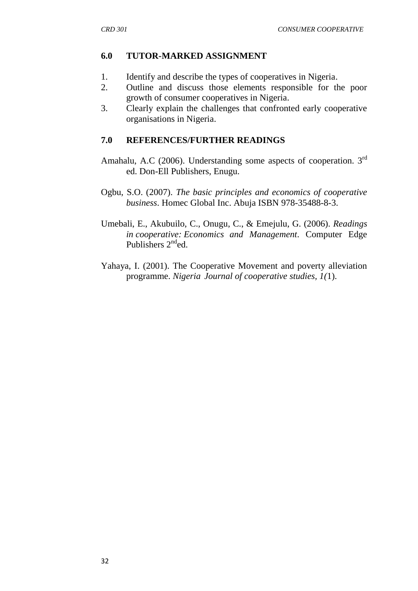## **6.0 TUTOR-MARKED ASSIGNMENT**

- 1. Identify and describe the types of cooperatives in Nigeria.
- 2. Outline and discuss those elements responsible for the poor growth of consumer cooperatives in Nigeria.
- 3. Clearly explain the challenges that confronted early cooperative organisations in Nigeria.

## **7.0 REFERENCES/FURTHER READINGS**

- Amahalu, A.C (2006). Understanding some aspects of cooperation. 3rd ed. Don-Ell Publishers, Enugu.
- Ogbu, S.O. (2007). *The basic principles and economics of cooperative business*. Homec Global Inc. Abuja ISBN 978-35488-8-3.
- Umebali, E., Akubuilo, C., Onugu, C., & Emejulu, G. (2006). *Readings in cooperative: Economics and Management*. Computer Edge Publishers  $2<sup>nd</sup>$ ed.
- Yahaya, I. (2001). The Cooperative Movement and poverty alleviation programme. *Nigeria Journal of cooperative studies, 1(*1).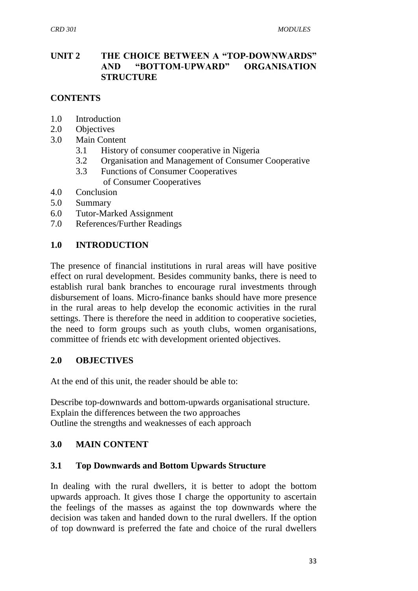### **UNIT 2 THE CHOICE BETWEEN A "TOP-DOWNWARDS" AND "BOTTOM-UPWARD" ORGANISATION STRUCTURE**

## **CONTENTS**

- 1.0 Introduction
- 2.0 Objectives
- 3.0 Main Content
	- 3.1 History of consumer cooperative in Nigeria
	- 3.2 Organisation and Management of Consumer Cooperative
	- 3.3 Functions of Consumer Cooperatives of Consumer Cooperatives
- 4.0 Conclusion
- 5.0 Summary
- 6.0 Tutor-Marked Assignment
- 7.0 References/Further Readings

### **1.0 INTRODUCTION**

The presence of financial institutions in rural areas will have positive effect on rural development. Besides community banks, there is need to establish rural bank branches to encourage rural investments through disbursement of loans. Micro-finance banks should have more presence in the rural areas to help develop the economic activities in the rural settings. There is therefore the need in addition to cooperative societies, the need to form groups such as youth clubs, women organisations, committee of friends etc with development oriented objectives.

### **2.0 OBJECTIVES**

At the end of this unit, the reader should be able to:

Describe top-downwards and bottom-upwards organisational structure. Explain the differences between the two approaches Outline the strengths and weaknesses of each approach

### **3.0 MAIN CONTENT**

### **3.1 Top Downwards and Bottom Upwards Structure**

In dealing with the rural dwellers, it is better to adopt the bottom upwards approach. It gives those I charge the opportunity to ascertain the feelings of the masses as against the top downwards where the decision was taken and handed down to the rural dwellers. If the option of top downward is preferred the fate and choice of the rural dwellers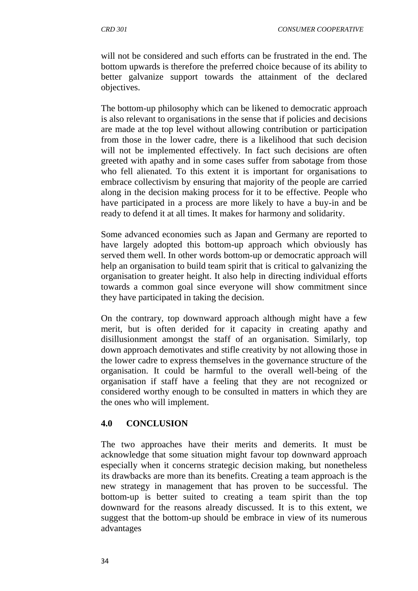will not be considered and such efforts can be frustrated in the end. The bottom upwards is therefore the preferred choice because of its ability to better galvanize support towards the attainment of the declared objectives.

The bottom-up philosophy which can be likened to democratic approach is also relevant to organisations in the sense that if policies and decisions are made at the top level without allowing contribution or participation from those in the lower cadre, there is a likelihood that such decision will not be implemented effectively. In fact such decisions are often greeted with apathy and in some cases suffer from sabotage from those who fell alienated. To this extent it is important for organisations to embrace collectivism by ensuring that majority of the people are carried along in the decision making process for it to be effective. People who have participated in a process are more likely to have a buy-in and be ready to defend it at all times. It makes for harmony and solidarity.

Some advanced economies such as Japan and Germany are reported to have largely adopted this bottom-up approach which obviously has served them well. In other words bottom-up or democratic approach will help an organisation to build team spirit that is critical to galvanizing the organisation to greater height. It also help in directing individual efforts towards a common goal since everyone will show commitment since they have participated in taking the decision.

On the contrary, top downward approach although might have a few merit, but is often derided for it capacity in creating apathy and disillusionment amongst the staff of an organisation. Similarly, top down approach demotivates and stifle creativity by not allowing those in the lower cadre to express themselves in the governance structure of the organisation. It could be harmful to the overall well-being of the organisation if staff have a feeling that they are not recognized or considered worthy enough to be consulted in matters in which they are the ones who will implement.

### **4.0 CONCLUSION**

The two approaches have their merits and demerits. It must be acknowledge that some situation might favour top downward approach especially when it concerns strategic decision making, but nonetheless its drawbacks are more than its benefits. Creating a team approach is the new strategy in management that has proven to be successful. The bottom-up is better suited to creating a team spirit than the top downward for the reasons already discussed. It is to this extent, we suggest that the bottom-up should be embrace in view of its numerous advantages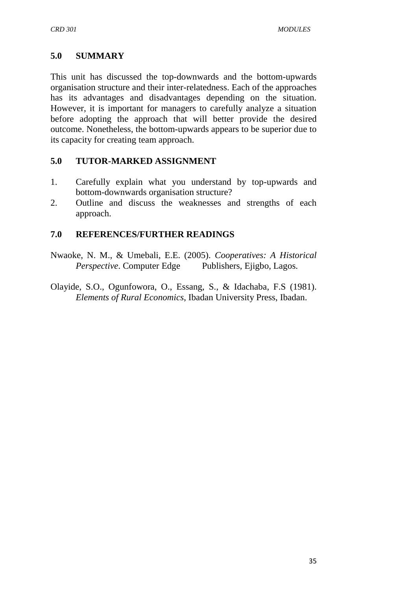## **5.0 SUMMARY**

This unit has discussed the top-downwards and the bottom-upwards organisation structure and their inter-relatedness. Each of the approaches has its advantages and disadvantages depending on the situation. However, it is important for managers to carefully analyze a situation before adopting the approach that will better provide the desired outcome. Nonetheless, the bottom-upwards appears to be superior due to its capacity for creating team approach.

## **5.0 TUTOR-MARKED ASSIGNMENT**

- 1. Carefully explain what you understand by top-upwards and bottom-downwards organisation structure?
- 2. Outline and discuss the weaknesses and strengths of each approach.

## **7.0 REFERENCES/FURTHER READINGS**

- Nwaoke, N. M., & Umebali, E.E. (2005). *Cooperatives: A Historical Perspective.* Computer Edge Publishers, Ejigbo, Lagos.
- Olayide, S.O., Ogunfowora, O., Essang, S., & Idachaba, F.S (1981). *Elements of Rural Economics*, Ibadan University Press, Ibadan.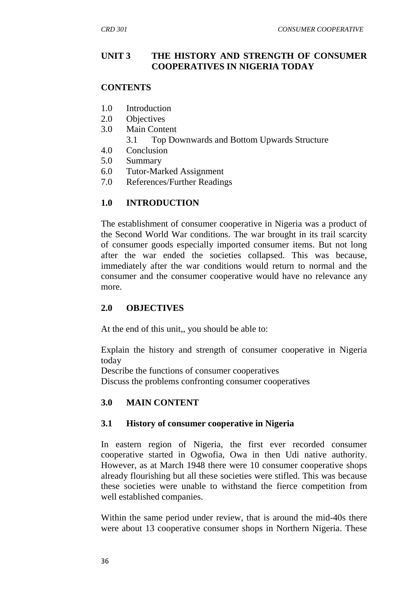#### **UNIT 3 THE HISTORY AND STRENGTH OF CONSUMER COOPERATIVES IN NIGERIA TODAY**

#### **CONTENTS**

- 1.0 Introduction
- 2.0 Objectives
- 3.0 Main Content
	- 3.1 Top Downwards and Bottom Upwards Structure
- 4.0 Conclusion
- 5.0 Summary
- 6.0 Tutor-Marked Assignment
- 7.0 References/Further Readings

#### **1.0 INTRODUCTION**

The establishment of consumer cooperative in Nigeria was a product of the Second World War conditions. The war brought in its trail scarcity of consumer goods especially imported consumer items. But not long after the war ended the societies collapsed. This was because, immediately after the war conditions would return to normal and the consumer and the consumer cooperative would have no relevance any more.

#### **2.0 OBJECTIVES**

At the end of this unit,, you should be able to:

Explain the history and strength of consumer cooperative in Nigeria today

Describe the functions of consumer cooperatives Discuss the problems confronting consumer cooperatives

#### **3.0 MAIN CONTENT**

#### **3.1 History of consumer cooperative in Nigeria**

In eastern region of Nigeria, the first ever recorded consumer cooperative started in Ogwofia, Owa in then Udi native authority. However, as at March 1948 there were 10 consumer cooperative shops already flourishing but all these societies were stifled. This was because these societies were unable to withstand the fierce competition from well established companies.

Within the same period under review, that is around the mid-40s there were about 13 cooperative consumer shops in Northern Nigeria. These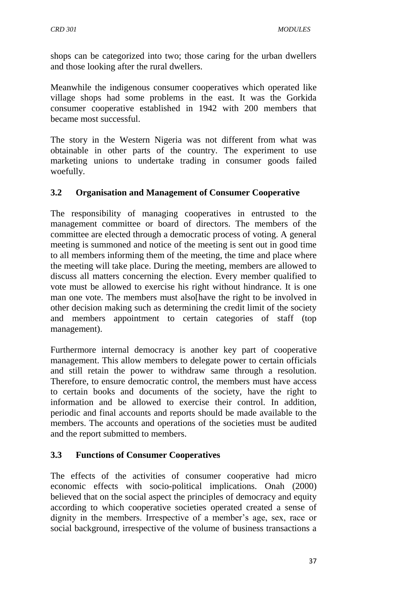shops can be categorized into two; those caring for the urban dwellers and those looking after the rural dwellers.

Meanwhile the indigenous consumer cooperatives which operated like village shops had some problems in the east. It was the Gorkida consumer cooperative established in 1942 with 200 members that became most successful.

The story in the Western Nigeria was not different from what was obtainable in other parts of the country. The experiment to use marketing unions to undertake trading in consumer goods failed woefully.

# **3.2 Organisation and Management of Consumer Cooperative**

The responsibility of managing cooperatives in entrusted to the management committee or board of directors. The members of the committee are elected through a democratic process of voting. A general meeting is summoned and notice of the meeting is sent out in good time to all members informing them of the meeting, the time and place where the meeting will take place. During the meeting, members are allowed to discuss all matters concerning the election. Every member qualified to vote must be allowed to exercise his right without hindrance. It is one man one vote. The members must also[have the right to be involved in other decision making such as determining the credit limit of the society and members appointment to certain categories of staff (top management).

Furthermore internal democracy is another key part of cooperative management. This allow members to delegate power to certain officials and still retain the power to withdraw same through a resolution. Therefore, to ensure democratic control, the members must have access to certain books and documents of the society, have the right to information and be allowed to exercise their control. In addition, periodic and final accounts and reports should be made available to the members. The accounts and operations of the societies must be audited and the report submitted to members.

### **3.3 Functions of Consumer Cooperatives**

The effects of the activities of consumer cooperative had micro economic effects with socio-political implications. Onah (2000) believed that on the social aspect the principles of democracy and equity according to which cooperative societies operated created a sense of dignity in the members. Irrespective of a member's age, sex, race or social background, irrespective of the volume of business transactions a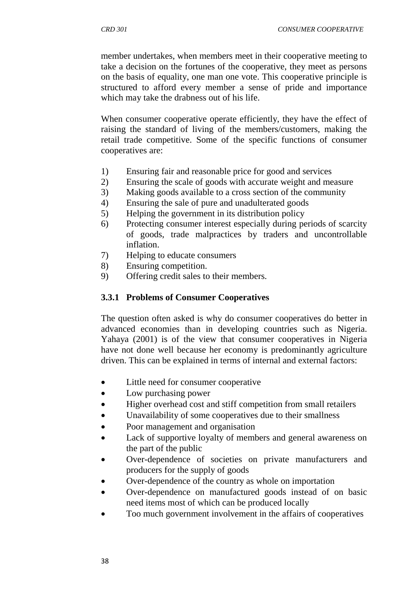member undertakes, when members meet in their cooperative meeting to take a decision on the fortunes of the cooperative, they meet as persons on the basis of equality, one man one vote. This cooperative principle is structured to afford every member a sense of pride and importance which may take the drabness out of his life.

When consumer cooperative operate efficiently, they have the effect of raising the standard of living of the members/customers, making the retail trade competitive. Some of the specific functions of consumer cooperatives are:

- 1) Ensuring fair and reasonable price for good and services
- 2) Ensuring the scale of goods with accurate weight and measure
- 3) Making goods available to a cross section of the community
- 4) Ensuring the sale of pure and unadulterated goods
- 5) Helping the government in its distribution policy
- 6) Protecting consumer interest especially during periods of scarcity of goods, trade malpractices by traders and uncontrollable inflation.
- 7) Helping to educate consumers
- 8) Ensuring competition.
- 9) Offering credit sales to their members.

### **3.3.1 Problems of Consumer Cooperatives**

The question often asked is why do consumer cooperatives do better in advanced economies than in developing countries such as Nigeria. Yahaya (2001) is of the view that consumer cooperatives in Nigeria have not done well because her economy is predominantly agriculture driven. This can be explained in terms of internal and external factors:

- Little need for consumer cooperative
- Low purchasing power
- Higher overhead cost and stiff competition from small retailers
- Unavailability of some cooperatives due to their smallness
- Poor management and organisation
- Lack of supportive loyalty of members and general awareness on the part of the public
- Over-dependence of societies on private manufacturers and producers for the supply of goods
- Over-dependence of the country as whole on importation
- Over-dependence on manufactured goods instead of on basic need items most of which can be produced locally
- Too much government involvement in the affairs of cooperatives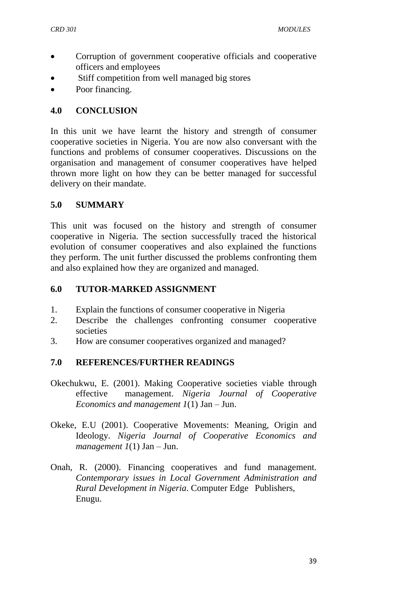- Corruption of government cooperative officials and cooperative officers and employees
- Stiff competition from well managed big stores
- Poor financing.

## **4.0 CONCLUSION**

In this unit we have learnt the history and strength of consumer cooperative societies in Nigeria. You are now also conversant with the functions and problems of consumer cooperatives. Discussions on the organisation and management of consumer cooperatives have helped thrown more light on how they can be better managed for successful delivery on their mandate.

## **5.0 SUMMARY**

This unit was focused on the history and strength of consumer cooperative in Nigeria. The section successfully traced the historical evolution of consumer cooperatives and also explained the functions they perform. The unit further discussed the problems confronting them and also explained how they are organized and managed.

## **6.0 TUTOR-MARKED ASSIGNMENT**

- 1. Explain the functions of consumer cooperative in Nigeria
- 2. Describe the challenges confronting consumer cooperative societies
- 3. How are consumer cooperatives organized and managed?

# **7.0 REFERENCES/FURTHER READINGS**

- Okechukwu, E. (2001). Making Cooperative societies viable through effective management. *Nigeria Journal of Cooperative Economics and management 1*(1) Jan – Jun.
- Okeke, E.U (2001). Cooperative Movements: Meaning, Origin and Ideology. *Nigeria Journal of Cooperative Economics and management 1*(1) Jan – Jun.
- Onah, R. (2000). Financing cooperatives and fund management. *Contemporary issues in Local Government Administration and Rural Development in Nigeria*. Computer Edge Publishers, Enugu.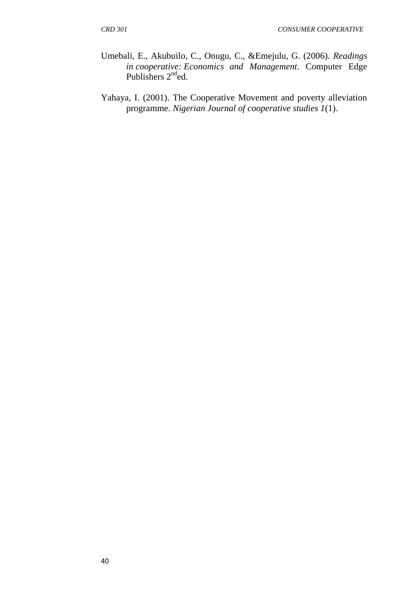- Umebali, E., Akubuilo, C., Onugu, C., &Emejulu, G. (2006). *Readings in cooperative: Economics and Management*. Computer Edge Publishers  $2^{nd}$ ed.
- Yahaya, I. (2001). The Cooperative Movement and poverty alleviation programme. *Nigerian Journal of cooperative studies 1*(1).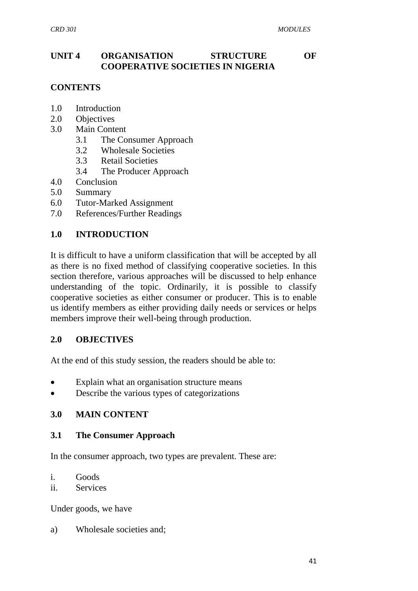## **UNIT 4 ORGANISATION STRUCTURE OF COOPERATIVE SOCIETIES IN NIGERIA**

## **CONTENTS**

- 1.0 Introduction
- 2.0 Objectives
- 3.0 Main Content
	- 3.1 The Consumer Approach
	- 3.2 Wholesale Societies
	- 3.3 Retail Societies
	- 3.4 The Producer Approach
- 4.0 Conclusion
- 5.0 Summary
- 6.0 Tutor-Marked Assignment
- 7.0 References/Further Readings

### **1.0 INTRODUCTION**

It is difficult to have a uniform classification that will be accepted by all as there is no fixed method of classifying cooperative societies. In this section therefore, various approaches will be discussed to help enhance understanding of the topic. Ordinarily, it is possible to classify cooperative societies as either consumer or producer. This is to enable us identify members as either providing daily needs or services or helps members improve their well-being through production.

#### **2.0 OBJECTIVES**

At the end of this study session, the readers should be able to:

- Explain what an organisation structure means
- Describe the various types of categorizations

### **3.0 MAIN CONTENT**

#### **3.1 The Consumer Approach**

In the consumer approach, two types are prevalent. These are:

- i. Goods
- ii. Services

Under goods, we have

a) Wholesale societies and;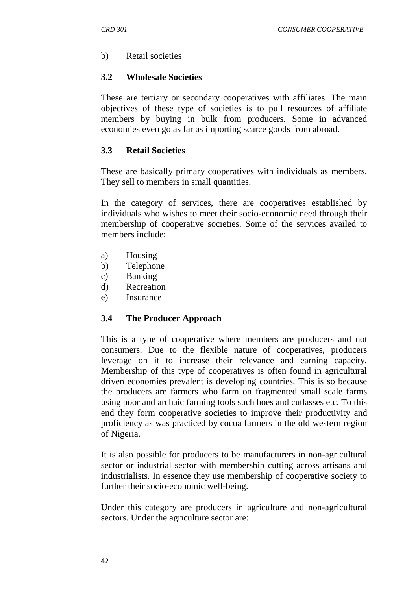b) Retail societies

## **3.2 Wholesale Societies**

These are tertiary or secondary cooperatives with affiliates. The main objectives of these type of societies is to pull resources of affiliate members by buying in bulk from producers. Some in advanced economies even go as far as importing scarce goods from abroad.

## **3.3 Retail Societies**

These are basically primary cooperatives with individuals as members. They sell to members in small quantities.

In the category of services, there are cooperatives established by individuals who wishes to meet their socio-economic need through their membership of cooperative societies. Some of the services availed to members include:

- a) Housing
- b) Telephone
- c) Banking
- d) Recreation
- e) Insurance

### **3.4 The Producer Approach**

This is a type of cooperative where members are producers and not consumers. Due to the flexible nature of cooperatives, producers leverage on it to increase their relevance and earning capacity. Membership of this type of cooperatives is often found in agricultural driven economies prevalent is developing countries. This is so because the producers are farmers who farm on fragmented small scale farms using poor and archaic farming tools such hoes and cutlasses etc. To this end they form cooperative societies to improve their productivity and proficiency as was practiced by cocoa farmers in the old western region of Nigeria.

It is also possible for producers to be manufacturers in non-agricultural sector or industrial sector with membership cutting across artisans and industrialists. In essence they use membership of cooperative society to further their socio-economic well-being.

Under this category are producers in agriculture and non-agricultural sectors. Under the agriculture sector are: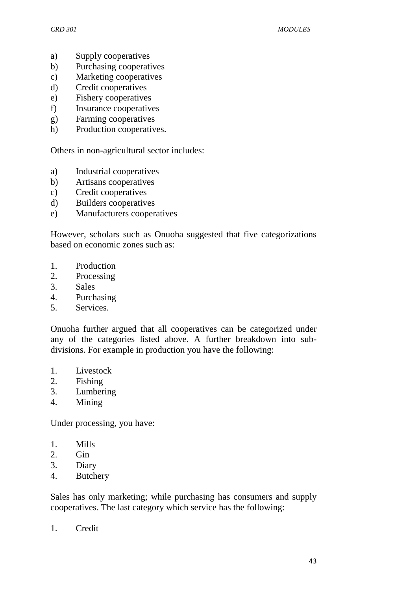- a) Supply cooperatives
- b) Purchasing cooperatives
- c) Marketing cooperatives
- d) Credit cooperatives
- e) Fishery cooperatives
- f) Insurance cooperatives
- g) Farming cooperatives
- h) Production cooperatives.

Others in non-agricultural sector includes:

- a) Industrial cooperatives
- b) Artisans cooperatives
- c) Credit cooperatives
- d) Builders cooperatives
- e) Manufacturers cooperatives

However, scholars such as Onuoha suggested that five categorizations based on economic zones such as:

- 1. Production
- 2. Processing
- 3. Sales
- 4. Purchasing
- 5. Services.

Onuoha further argued that all cooperatives can be categorized under any of the categories listed above. A further breakdown into subdivisions. For example in production you have the following:

- 1. Livestock
- 2. Fishing
- 3. Lumbering
- 4. Mining

Under processing, you have:

- 1. Mills
- 2. Gin
- 3. Diary
- 4. Butchery

Sales has only marketing; while purchasing has consumers and supply cooperatives. The last category which service has the following:

1. Credit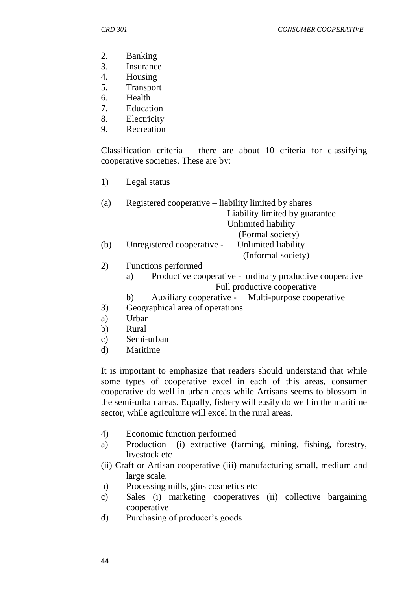- 2. Banking
- 3. Insurance
- 4. Housing
- 5. Transport
- 6. Health
- 7. Education
- 8. Electricity
- 9. Recreation

Classification criteria – there are about 10 criteria for classifying cooperative societies. These are by:

1) Legal status

| (a) | Registered cooperative – liability limited by shares |  |
|-----|------------------------------------------------------|--|
|     | Liability limited by guarantee                       |  |
|     | Unlimited liability                                  |  |
|     | (Formal society)                                     |  |
| (b) | Unlimited liability<br>Unregistered cooperative -    |  |
|     | (Informal society)                                   |  |

- 2) Functions performed
	- a) Productive cooperative ordinary productive cooperative Full productive cooperative
	- b) Auxiliary cooperative Multi-purpose cooperative
- 3) Geographical area of operations
- a) Urban
- b) Rural
- c) Semi-urban
- d) Maritime

It is important to emphasize that readers should understand that while some types of cooperative excel in each of this areas, consumer cooperative do well in urban areas while Artisans seems to blossom in the semi-urban areas. Equally, fishery will easily do well in the maritime sector, while agriculture will excel in the rural areas.

- 4) Economic function performed
- a) Production (i) extractive (farming, mining, fishing, forestry, livestock etc
- (ii) Craft or Artisan cooperative (iii) manufacturing small, medium and large scale.
- b) Processing mills, gins cosmetics etc
- c) Sales (i) marketing cooperatives (ii) collective bargaining cooperative
- d) Purchasing of producer's goods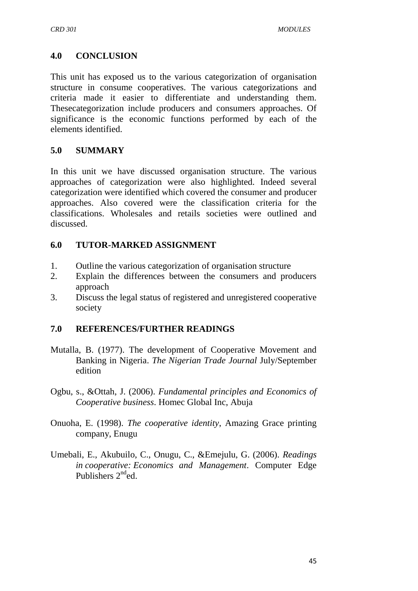## **4.0 CONCLUSION**

This unit has exposed us to the various categorization of organisation structure in consume cooperatives. The various categorizations and criteria made it easier to differentiate and understanding them. Thesecategorization include producers and consumers approaches. Of significance is the economic functions performed by each of the elements identified.

### **5.0 SUMMARY**

In this unit we have discussed organisation structure. The various approaches of categorization were also highlighted. Indeed several categorization were identified which covered the consumer and producer approaches. Also covered were the classification criteria for the classifications. Wholesales and retails societies were outlined and discussed.

#### **6.0 TUTOR-MARKED ASSIGNMENT**

- 1. Outline the various categorization of organisation structure
- 2. Explain the differences between the consumers and producers approach
- 3. Discuss the legal status of registered and unregistered cooperative society

### **7.0 REFERENCES/FURTHER READINGS**

- Mutalla, B. (1977). The development of Cooperative Movement and Banking in Nigeria. *The Nigerian Trade Journal* July/September edition
- Ogbu, s., &Ottah, J. (2006). *Fundamental principles and Economics of Cooperative business*. Homec Global Inc, Abuja
- Onuoha, E. (1998). *The cooperative identity*, Amazing Grace printing company, Enugu
- Umebali, E., Akubuilo, C., Onugu, C., &Emejulu, G. (2006). *Readings in cooperative: Economics and Management*. Computer Edge Publishers  $2<sup>nd</sup>$ ed.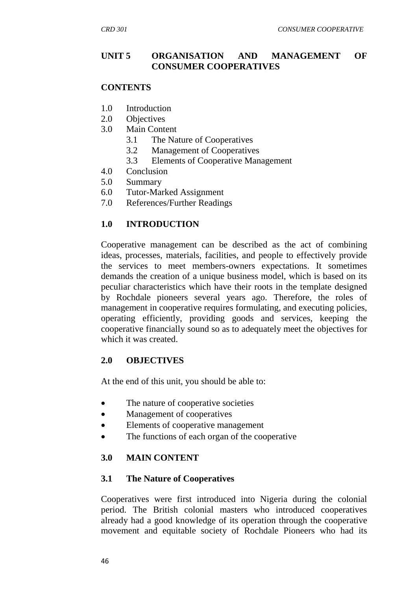### **UNIT 5 ORGANISATION AND MANAGEMENT OF CONSUMER COOPERATIVES**

#### **CONTENTS**

- 1.0 Introduction
- 2.0 Objectives
- 3.0 Main Content
	- 3.1 The Nature of Cooperatives
	- 3.2 Management of Cooperatives
	- 3.3 Elements of Cooperative Management
- 4.0 Conclusion
- 5.0 Summary
- 6.0 Tutor-Marked Assignment
- 7.0 References/Further Readings

### **1.0 INTRODUCTION**

Cooperative management can be described as the act of combining ideas, processes, materials, facilities, and people to effectively provide the services to meet members-owners expectations. It sometimes demands the creation of a unique business model, which is based on its peculiar characteristics which have their roots in the template designed by Rochdale pioneers several years ago. Therefore, the roles of management in cooperative requires formulating, and executing policies, operating efficiently, providing goods and services, keeping the cooperative financially sound so as to adequately meet the objectives for which it was created.

### **2.0 OBJECTIVES**

At the end of this unit, you should be able to:

- The nature of cooperative societies
- Management of cooperatives
- Elements of cooperative management
- The functions of each organ of the cooperative

### **3.0 MAIN CONTENT**

### **3.1 The Nature of Cooperatives**

Cooperatives were first introduced into Nigeria during the colonial period. The British colonial masters who introduced cooperatives already had a good knowledge of its operation through the cooperative movement and equitable society of Rochdale Pioneers who had its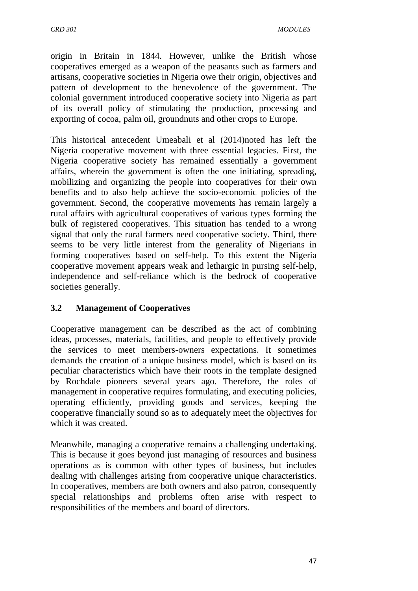origin in Britain in 1844. However, unlike the British whose cooperatives emerged as a weapon of the peasants such as farmers and artisans, cooperative societies in Nigeria owe their origin, objectives and pattern of development to the benevolence of the government. The colonial government introduced cooperative society into Nigeria as part of its overall policy of stimulating the production, processing and exporting of cocoa, palm oil, groundnuts and other crops to Europe.

This historical antecedent Umeabali et al (2014)noted has left the Nigeria cooperative movement with three essential legacies. First, the Nigeria cooperative society has remained essentially a government affairs, wherein the government is often the one initiating, spreading, mobilizing and organizing the people into cooperatives for their own benefits and to also help achieve the socio-economic policies of the government. Second, the cooperative movements has remain largely a rural affairs with agricultural cooperatives of various types forming the bulk of registered cooperatives. This situation has tended to a wrong signal that only the rural farmers need cooperative society. Third, there seems to be very little interest from the generality of Nigerians in forming cooperatives based on self-help. To this extent the Nigeria cooperative movement appears weak and lethargic in pursing self-help, independence and self-reliance which is the bedrock of cooperative societies generally.

# **3.2 Management of Cooperatives**

Cooperative management can be described as the act of combining ideas, processes, materials, facilities, and people to effectively provide the services to meet members-owners expectations. It sometimes demands the creation of a unique business model, which is based on its peculiar characteristics which have their roots in the template designed by Rochdale pioneers several years ago. Therefore, the roles of management in cooperative requires formulating, and executing policies, operating efficiently, providing goods and services, keeping the cooperative financially sound so as to adequately meet the objectives for which it was created.

Meanwhile, managing a cooperative remains a challenging undertaking. This is because it goes beyond just managing of resources and business operations as is common with other types of business, but includes dealing with challenges arising from cooperative unique characteristics. In cooperatives, members are both owners and also patron, consequently special relationships and problems often arise with respect to responsibilities of the members and board of directors.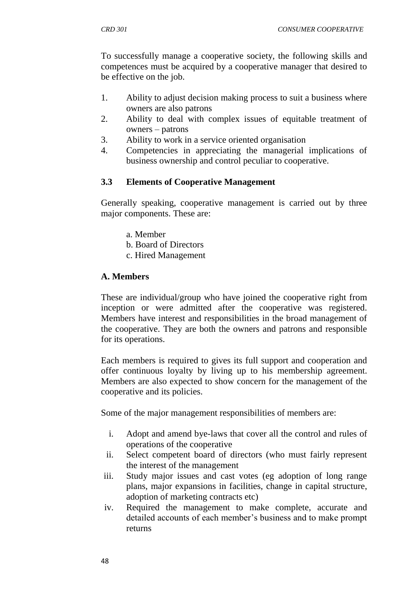To successfully manage a cooperative society, the following skills and competences must be acquired by a cooperative manager that desired to be effective on the job.

- 1. Ability to adjust decision making process to suit a business where owners are also patrons
- 2. Ability to deal with complex issues of equitable treatment of owners – patrons
- 3. Ability to work in a service oriented organisation
- 4. Competencies in appreciating the managerial implications of business ownership and control peculiar to cooperative.

## **3.3 Elements of Cooperative Management**

Generally speaking, cooperative management is carried out by three major components. These are:

- a. Member
- b. Board of Directors
- c. Hired Management

#### **A. Members**

These are individual/group who have joined the cooperative right from inception or were admitted after the cooperative was registered. Members have interest and responsibilities in the broad management of the cooperative. They are both the owners and patrons and responsible for its operations.

Each members is required to gives its full support and cooperation and offer continuous loyalty by living up to his membership agreement. Members are also expected to show concern for the management of the cooperative and its policies.

Some of the major management responsibilities of members are:

- i. Adopt and amend bye-laws that cover all the control and rules of operations of the cooperative
- ii. Select competent board of directors (who must fairly represent the interest of the management
- iii. Study major issues and cast votes (eg adoption of long range plans, major expansions in facilities, change in capital structure, adoption of marketing contracts etc)
- iv. Required the management to make complete, accurate and detailed accounts of each member"s business and to make prompt returns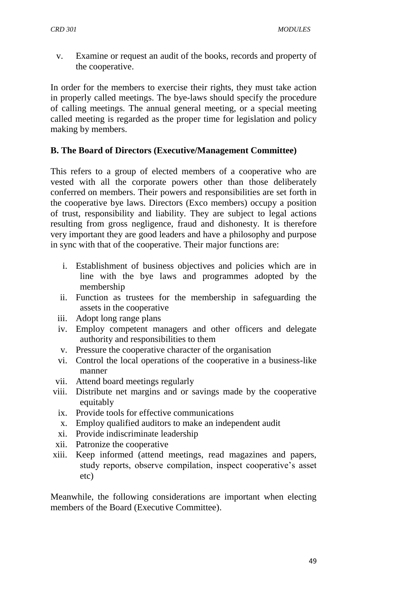v. Examine or request an audit of the books, records and property of the cooperative.

In order for the members to exercise their rights, they must take action in properly called meetings. The bye-laws should specify the procedure of calling meetings. The annual general meeting, or a special meeting called meeting is regarded as the proper time for legislation and policy making by members.

# **B. The Board of Directors (Executive/Management Committee)**

This refers to a group of elected members of a cooperative who are vested with all the corporate powers other than those deliberately conferred on members. Their powers and responsibilities are set forth in the cooperative bye laws. Directors (Exco members) occupy a position of trust, responsibility and liability. They are subject to legal actions resulting from gross negligence, fraud and dishonesty. It is therefore very important they are good leaders and have a philosophy and purpose in sync with that of the cooperative. Their major functions are:

- i. Establishment of business objectives and policies which are in line with the bye laws and programmes adopted by the membership
- ii. Function as trustees for the membership in safeguarding the assets in the cooperative
- iii. Adopt long range plans
- iv. Employ competent managers and other officers and delegate authority and responsibilities to them
- v. Pressure the cooperative character of the organisation
- vi. Control the local operations of the cooperative in a business-like manner
- vii. Attend board meetings regularly
- viii. Distribute net margins and or savings made by the cooperative equitably
	- ix. Provide tools for effective communications
	- x. Employ qualified auditors to make an independent audit
	- xi. Provide indiscriminate leadership
- xii. Patronize the cooperative
- xiii. Keep informed (attend meetings, read magazines and papers, study reports, observe compilation, inspect cooperative's asset etc)

Meanwhile, the following considerations are important when electing members of the Board (Executive Committee).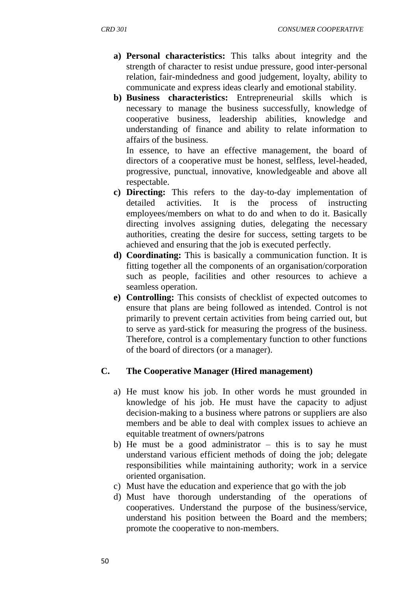- **a) Personal characteristics:** This talks about integrity and the strength of character to resist undue pressure, good inter-personal relation, fair-mindedness and good judgement, loyalty, ability to communicate and express ideas clearly and emotional stability.
- **b) Business characteristics:** Entrepreneurial skills which is necessary to manage the business successfully, knowledge of cooperative business, leadership abilities, knowledge and understanding of finance and ability to relate information to affairs of the business.

In essence, to have an effective management, the board of directors of a cooperative must be honest, selfless, level-headed, progressive, punctual, innovative, knowledgeable and above all respectable.

- **c) Directing:** This refers to the day-to-day implementation of detailed activities. It is the process of instructing employees/members on what to do and when to do it. Basically directing involves assigning duties, delegating the necessary authorities, creating the desire for success, setting targets to be achieved and ensuring that the job is executed perfectly.
- **d) Coordinating:** This is basically a communication function. It is fitting together all the components of an organisation/corporation such as people, facilities and other resources to achieve a seamless operation.
- **e) Controlling:** This consists of checklist of expected outcomes to ensure that plans are being followed as intended. Control is not primarily to prevent certain activities from being carried out, but to serve as yard-stick for measuring the progress of the business. Therefore, control is a complementary function to other functions of the board of directors (or a manager).

### **C. The Cooperative Manager (Hired management)**

- a) He must know his job. In other words he must grounded in knowledge of his job. He must have the capacity to adjust decision-making to a business where patrons or suppliers are also members and be able to deal with complex issues to achieve an equitable treatment of owners/patrons
- b) He must be a good administrator  $-$  this is to say he must understand various efficient methods of doing the job; delegate responsibilities while maintaining authority; work in a service oriented organisation.
- c) Must have the education and experience that go with the job
- d) Must have thorough understanding of the operations of cooperatives. Understand the purpose of the business/service, understand his position between the Board and the members; promote the cooperative to non-members.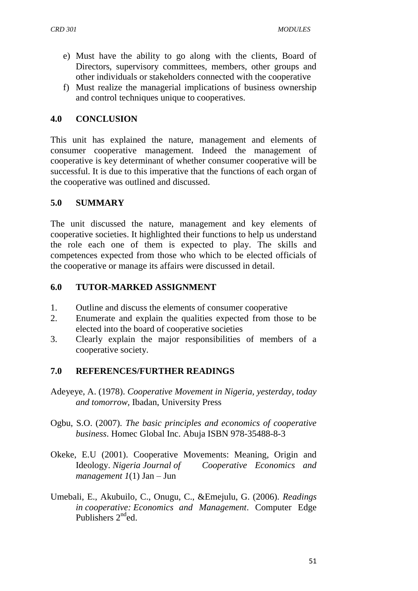- e) Must have the ability to go along with the clients, Board of Directors, supervisory committees, members, other groups and other individuals or stakeholders connected with the cooperative
- f) Must realize the managerial implications of business ownership and control techniques unique to cooperatives.

## **4.0 CONCLUSION**

This unit has explained the nature, management and elements of consumer cooperative management. Indeed the management of cooperative is key determinant of whether consumer cooperative will be successful. It is due to this imperative that the functions of each organ of the cooperative was outlined and discussed.

### **5.0 SUMMARY**

The unit discussed the nature, management and key elements of cooperative societies. It highlighted their functions to help us understand the role each one of them is expected to play. The skills and competences expected from those who which to be elected officials of the cooperative or manage its affairs were discussed in detail.

## **6.0 TUTOR-MARKED ASSIGNMENT**

- 1. Outline and discuss the elements of consumer cooperative
- 2. Enumerate and explain the qualities expected from those to be elected into the board of cooperative societies
- 3. Clearly explain the major responsibilities of members of a cooperative society.

### **7.0 REFERENCES/FURTHER READINGS**

- Adeyeye, A. (1978). *Cooperative Movement in Nigeria, yesterday, today and tomorrow,* Ibadan, University Press
- Ogbu, S.O. (2007). *The basic principles and economics of cooperative business*. Homec Global Inc. Abuja ISBN 978-35488-8-3
- Okeke, E.U (2001). Cooperative Movements: Meaning, Origin and Ideology. *Nigeria Journal of Cooperative Economics and management 1*(1) Jan – Jun
- Umebali, E., Akubuilo, C., Onugu, C., &Emejulu, G. (2006). *Readings in cooperative: Economics and Management*. Computer Edge Publishers  $2^{nd}$ ed.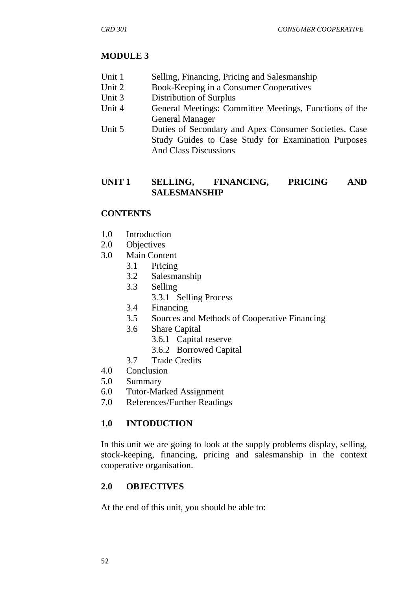## **MODULE 3**

- Unit 1 Selling, Financing, Pricing and Salesmanship
- Unit 2 Book-Keeping in a Consumer Cooperatives
- Unit 3 Distribution of Surplus
- Unit 4 General Meetings: Committee Meetings, Functions of the General Manager
- Unit 5 Duties of Secondary and Apex Consumer Societies. Case Study Guides to Case Study for Examination Purposes And Class Discussions

## **UNIT 1 SELLING, FINANCING, PRICING AND SALESMANSHIP**

# **CONTENTS**

- 1.0 Introduction
- 2.0 Objectives
- 3.0 Main Content
	- 3.1 Pricing
		- 3.2 Salesmanship
		- 3.3 Selling
			- 3.3.1 Selling Process
		- 3.4 Financing
		- 3.5 Sources and Methods of Cooperative Financing
	- 3.6 Share Capital
		- 3.6.1 Capital reserve
		- 3.6.2 Borrowed Capital
	- 3.7 Trade Credits
- 4.0 Conclusion
- 5.0 Summary
- 6.0 Tutor-Marked Assignment
- 7.0 References/Further Readings

# **1.0 INTODUCTION**

In this unit we are going to look at the supply problems display, selling, stock-keeping, financing, pricing and salesmanship in the context cooperative organisation.

# **2.0 OBJECTIVES**

At the end of this unit, you should be able to: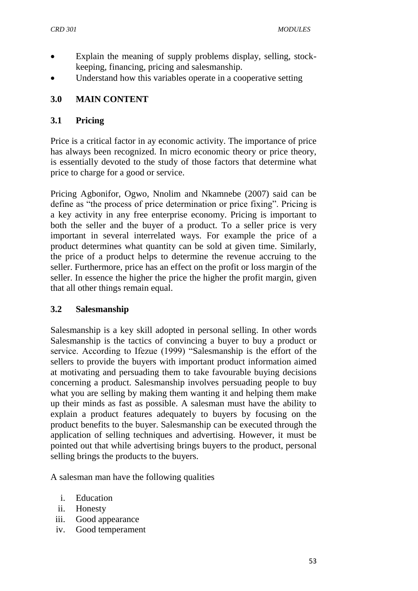- Explain the meaning of supply problems display, selling, stockkeeping, financing, pricing and salesmanship.
- Understand how this variables operate in a cooperative setting

# **3.0 MAIN CONTENT**

### **3.1 Pricing**

Price is a critical factor in ay economic activity. The importance of price has always been recognized. In micro economic theory or price theory, is essentially devoted to the study of those factors that determine what price to charge for a good or service.

Pricing Agbonifor, Ogwo, Nnolim and Nkamnebe (2007) said can be define as "the process of price determination or price fixing". Pricing is a key activity in any free enterprise economy. Pricing is important to both the seller and the buyer of a product. To a seller price is very important in several interrelated ways. For example the price of a product determines what quantity can be sold at given time. Similarly, the price of a product helps to determine the revenue accruing to the seller. Furthermore, price has an effect on the profit or loss margin of the seller. In essence the higher the price the higher the profit margin, given that all other things remain equal.

### **3.2 Salesmanship**

Salesmanship is a key skill adopted in personal selling. In other words Salesmanship is the tactics of convincing a buyer to buy a product or service. According to Ifezue (1999) "Salesmanship is the effort of the sellers to provide the buyers with important product information aimed at motivating and persuading them to take favourable buying decisions concerning a product. Salesmanship involves persuading people to buy what you are selling by making them wanting it and helping them make up their minds as fast as possible. A salesman must have the ability to explain a product features adequately to buyers by focusing on the product benefits to the buyer. Salesmanship can be executed through the application of selling techniques and advertising. However, it must be pointed out that while advertising brings buyers to the product, personal selling brings the products to the buyers.

A salesman man have the following qualities

- i. Education
- ii. Honesty
- iii. Good appearance
- iv. Good temperament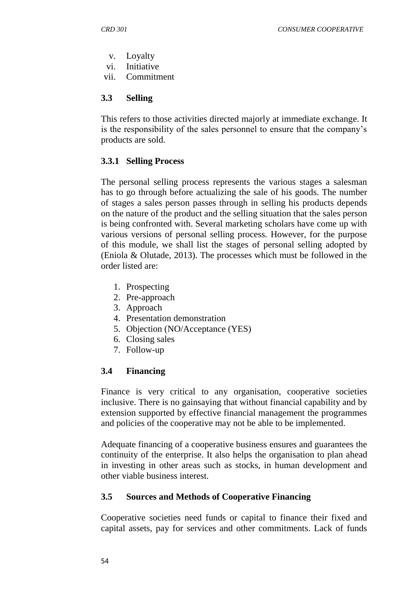- v. Loyalty
- vi. Initiative
- vii. Commitment

## **3.3 Selling**

This refers to those activities directed majorly at immediate exchange. It is the responsibility of the sales personnel to ensure that the company"s products are sold.

# **3.3.1 Selling Process**

The personal selling process represents the various stages a salesman has to go through before actualizing the sale of his goods. The number of stages a sales person passes through in selling his products depends on the nature of the product and the selling situation that the sales person is being confronted with. Several marketing scholars have come up with various versions of personal selling process. However, for the purpose of this module, we shall list the stages of personal selling adopted by (Eniola & Olutade, 2013). The processes which must be followed in the order listed are:

- 1. Prospecting
- 2. Pre-approach
- 3. Approach
- 4. Presentation demonstration
- 5. Objection (NO/Acceptance (YES)
- 6. Closing sales
- 7. Follow-up

### **3.4 Financing**

Finance is very critical to any organisation, cooperative societies inclusive. There is no gainsaying that without financial capability and by extension supported by effective financial management the programmes and policies of the cooperative may not be able to be implemented.

Adequate financing of a cooperative business ensures and guarantees the continuity of the enterprise. It also helps the organisation to plan ahead in investing in other areas such as stocks, in human development and other viable business interest.

# **3.5 Sources and Methods of Cooperative Financing**

Cooperative societies need funds or capital to finance their fixed and capital assets, pay for services and other commitments. Lack of funds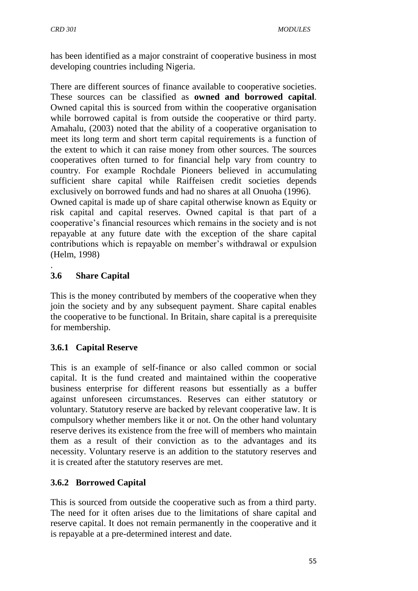has been identified as a major constraint of cooperative business in most developing countries including Nigeria.

There are different sources of finance available to cooperative societies. These sources can be classified as **owned and borrowed capital**. Owned capital this is sourced from within the cooperative organisation while borrowed capital is from outside the cooperative or third party. Amahalu, (2003) noted that the ability of a cooperative organisation to meet its long term and short term capital requirements is a function of the extent to which it can raise money from other sources. The sources cooperatives often turned to for financial help vary from country to country. For example Rochdale Pioneers believed in accumulating sufficient share capital while Raiffeisen credit societies depends exclusively on borrowed funds and had no shares at all Onuoha (1996).

Owned capital is made up of share capital otherwise known as Equity or risk capital and capital reserves. Owned capital is that part of a cooperative"s financial resources which remains in the society and is not repayable at any future date with the exception of the share capital contributions which is repayable on member"s withdrawal or expulsion (Helm, 1998)

### . **3.6 Share Capital**

This is the money contributed by members of the cooperative when they join the society and by any subsequent payment. Share capital enables the cooperative to be functional. In Britain, share capital is a prerequisite for membership.

# **3.6.1 Capital Reserve**

This is an example of self-finance or also called common or social capital. It is the fund created and maintained within the cooperative business enterprise for different reasons but essentially as a buffer against unforeseen circumstances. Reserves can either statutory or voluntary. Statutory reserve are backed by relevant cooperative law. It is compulsory whether members like it or not. On the other hand voluntary reserve derives its existence from the free will of members who maintain them as a result of their conviction as to the advantages and its necessity. Voluntary reserve is an addition to the statutory reserves and it is created after the statutory reserves are met.

# **3.6.2 Borrowed Capital**

This is sourced from outside the cooperative such as from a third party. The need for it often arises due to the limitations of share capital and reserve capital. It does not remain permanently in the cooperative and it is repayable at a pre-determined interest and date.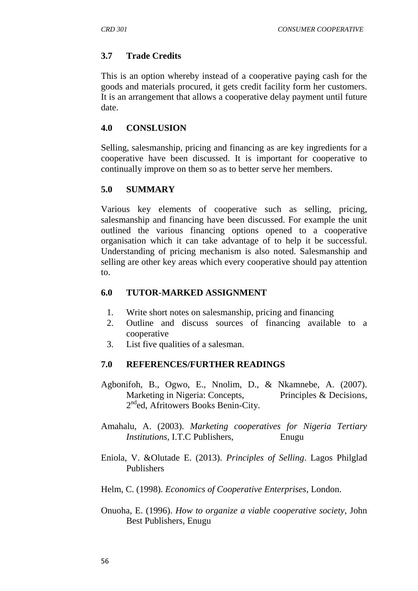## **3.7 Trade Credits**

This is an option whereby instead of a cooperative paying cash for the goods and materials procured, it gets credit facility form her customers. It is an arrangement that allows a cooperative delay payment until future date.

### **4.0 CONSLUSION**

Selling, salesmanship, pricing and financing as are key ingredients for a cooperative have been discussed. It is important for cooperative to continually improve on them so as to better serve her members.

### **5.0 SUMMARY**

Various key elements of cooperative such as selling, pricing, salesmanship and financing have been discussed. For example the unit outlined the various financing options opened to a cooperative organisation which it can take advantage of to help it be successful. Understanding of pricing mechanism is also noted. Salesmanship and selling are other key areas which every cooperative should pay attention to.

#### **6.0 TUTOR-MARKED ASSIGNMENT**

- 1. Write short notes on salesmanship, pricing and financing
- 2. Outline and discuss sources of financing available to a cooperative
- 3. List five qualities of a salesman.

### **7.0 REFERENCES/FURTHER READINGS**

- Agbonifoh, B., Ogwo, E., Nnolim, D., & Nkamnebe, A. (2007). Marketing in Nigeria: Concepts, Principles & Decisions, 2<sup>nd</sup>ed, Afritowers Books Benin-City.
- Amahalu, A. (2003). *Marketing cooperatives for Nigeria Tertiary Institutions,* I.T.C Publishers, Enugu
- Eniola, V. &Olutade E. (2013). *Principles of Selling*. Lagos Philglad Publishers
- Helm, C. (1998). *Economics of Cooperative Enterprises*, London.
- Onuoha, E. (1996). *How to organize a viable cooperative society*, John Best Publishers, Enugu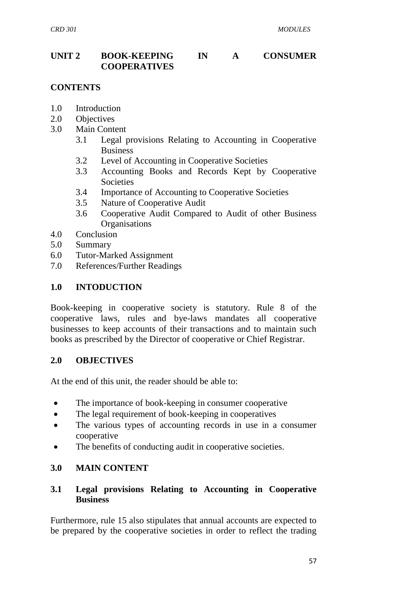## **UNIT 2 BOOK-KEEPING IN A CONSUMER COOPERATIVES**

## **CONTENTS**

- 1.0 Introduction
- 2.0 Objectives
- 3.0 Main Content
	- 3.1 Legal provisions Relating to Accounting in Cooperative Business
	- 3.2 Level of Accounting in Cooperative Societies
	- 3.3 Accounting Books and Records Kept by Cooperative **Societies**
	- 3.4 Importance of Accounting to Cooperative Societies
	- 3.5 Nature of Cooperative Audit
	- 3.6 Cooperative Audit Compared to Audit of other Business **Organisations**
- 4.0 Conclusion
- 5.0 Summary
- 6.0 Tutor-Marked Assignment
- 7.0 References/Further Readings

#### **1.0 INTODUCTION**

Book-keeping in cooperative society is statutory. Rule 8 of the cooperative laws, rules and bye-laws mandates all cooperative businesses to keep accounts of their transactions and to maintain such books as prescribed by the Director of cooperative or Chief Registrar.

#### **2.0 OBJECTIVES**

At the end of this unit, the reader should be able to:

- The importance of book-keeping in consumer cooperative
- The legal requirement of book-keeping in cooperatives
- The various types of accounting records in use in a consumer cooperative
- The benefits of conducting audit in cooperative societies.

### **3.0 MAIN CONTENT**

### **3.1 Legal provisions Relating to Accounting in Cooperative Business**

Furthermore, rule 15 also stipulates that annual accounts are expected to be prepared by the cooperative societies in order to reflect the trading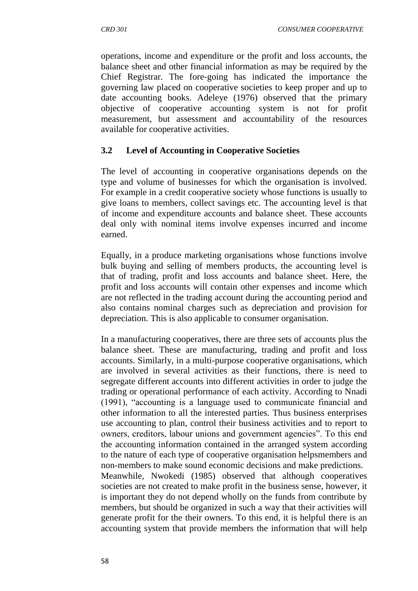operations, income and expenditure or the profit and loss accounts, the balance sheet and other financial information as may be required by the Chief Registrar. The fore-going has indicated the importance the governing law placed on cooperative societies to keep proper and up to date accounting books. Adeleye (1976) observed that the primary objective of cooperative accounting system is not for profit measurement, but assessment and accountability of the resources available for cooperative activities.

## **3.2 Level of Accounting in Cooperative Societies**

The level of accounting in cooperative organisations depends on the type and volume of businesses for which the organisation is involved. For example in a credit cooperative society whose functions is usually to give loans to members, collect savings etc. The accounting level is that of income and expenditure accounts and balance sheet. These accounts deal only with nominal items involve expenses incurred and income earned.

Equally, in a produce marketing organisations whose functions involve bulk buying and selling of members products, the accounting level is that of trading, profit and loss accounts and balance sheet. Here, the profit and loss accounts will contain other expenses and income which are not reflected in the trading account during the accounting period and also contains nominal charges such as depreciation and provision for depreciation. This is also applicable to consumer organisation.

In a manufacturing cooperatives, there are three sets of accounts plus the balance sheet. These are manufacturing, trading and profit and loss accounts. Similarly, in a multi-purpose cooperative organisations, which are involved in several activities as their functions, there is need to segregate different accounts into different activities in order to judge the trading or operational performance of each activity. According to Nnadi (1991), "accounting is a language used to communicate financial and other information to all the interested parties. Thus business enterprises use accounting to plan, control their business activities and to report to owners, creditors, labour unions and government agencies". To this end the accounting information contained in the arranged system according to the nature of each type of cooperative organisation helpsmembers and non-members to make sound economic decisions and make predictions. Meanwhile, Nwokedi (1985) observed that although cooperatives societies are not created to make profit in the business sense, however, it is important they do not depend wholly on the funds from contribute by members, but should be organized in such a way that their activities will generate profit for the their owners. To this end, it is helpful there is an accounting system that provide members the information that will help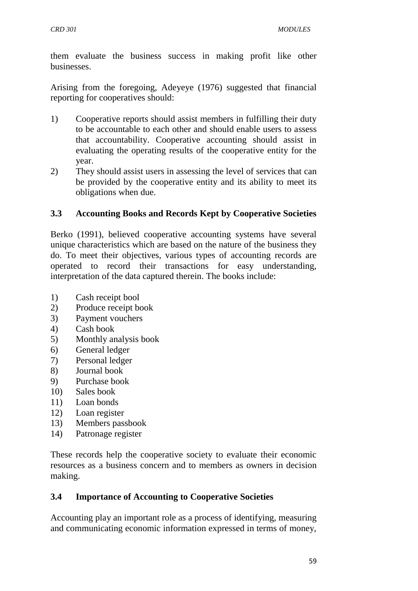them evaluate the business success in making profit like other businesses.

Arising from the foregoing, Adeyeye (1976) suggested that financial reporting for cooperatives should:

- 1) Cooperative reports should assist members in fulfilling their duty to be accountable to each other and should enable users to assess that accountability. Cooperative accounting should assist in evaluating the operating results of the cooperative entity for the year.
- 2) They should assist users in assessing the level of services that can be provided by the cooperative entity and its ability to meet its obligations when due.

# **3.3 Accounting Books and Records Kept by Cooperative Societies**

Berko (1991), believed cooperative accounting systems have several unique characteristics which are based on the nature of the business they do. To meet their objectives, various types of accounting records are operated to record their transactions for easy understanding, interpretation of the data captured therein. The books include:

- 1) Cash receipt bool
- 2) Produce receipt book
- 3) Payment vouchers
- 4) Cash book
- 5) Monthly analysis book
- 6) General ledger
- 7) Personal ledger
- 8) Journal book
- 9) Purchase book
- 10) Sales book
- 11) Loan bonds
- 12) Loan register
- 13) Members passbook
- 14) Patronage register

These records help the cooperative society to evaluate their economic resources as a business concern and to members as owners in decision making.

# **3.4 Importance of Accounting to Cooperative Societies**

Accounting play an important role as a process of identifying, measuring and communicating economic information expressed in terms of money,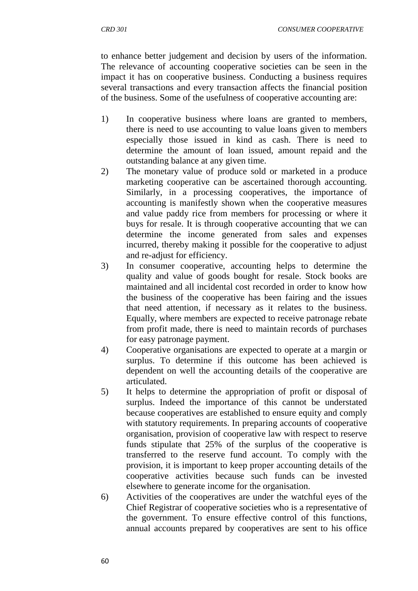to enhance better judgement and decision by users of the information. The relevance of accounting cooperative societies can be seen in the impact it has on cooperative business. Conducting a business requires several transactions and every transaction affects the financial position of the business. Some of the usefulness of cooperative accounting are:

- 1) In cooperative business where loans are granted to members, there is need to use accounting to value loans given to members especially those issued in kind as cash. There is need to determine the amount of loan issued, amount repaid and the outstanding balance at any given time.
- 2) The monetary value of produce sold or marketed in a produce marketing cooperative can be ascertained thorough accounting. Similarly, in a processing cooperatives, the importance of accounting is manifestly shown when the cooperative measures and value paddy rice from members for processing or where it buys for resale. It is through cooperative accounting that we can determine the income generated from sales and expenses incurred, thereby making it possible for the cooperative to adjust and re-adjust for efficiency.
- 3) In consumer cooperative, accounting helps to determine the quality and value of goods bought for resale. Stock books are maintained and all incidental cost recorded in order to know how the business of the cooperative has been fairing and the issues that need attention, if necessary as it relates to the business. Equally, where members are expected to receive patronage rebate from profit made, there is need to maintain records of purchases for easy patronage payment.
- 4) Cooperative organisations are expected to operate at a margin or surplus. To determine if this outcome has been achieved is dependent on well the accounting details of the cooperative are articulated.
- 5) It helps to determine the appropriation of profit or disposal of surplus. Indeed the importance of this cannot be understated because cooperatives are established to ensure equity and comply with statutory requirements. In preparing accounts of cooperative organisation, provision of cooperative law with respect to reserve funds stipulate that 25% of the surplus of the cooperative is transferred to the reserve fund account. To comply with the provision, it is important to keep proper accounting details of the cooperative activities because such funds can be invested elsewhere to generate income for the organisation.
- 6) Activities of the cooperatives are under the watchful eyes of the Chief Registrar of cooperative societies who is a representative of the government. To ensure effective control of this functions, annual accounts prepared by cooperatives are sent to his office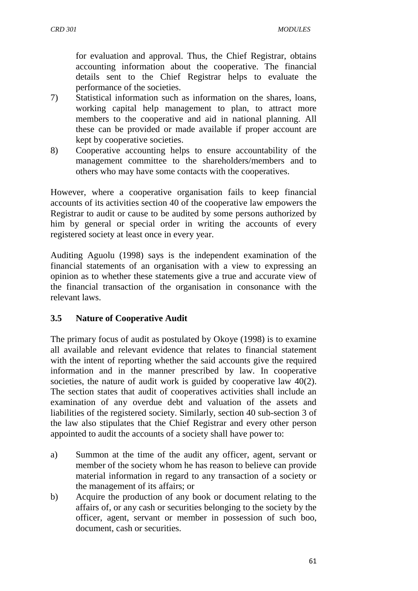for evaluation and approval. Thus, the Chief Registrar, obtains accounting information about the cooperative. The financial details sent to the Chief Registrar helps to evaluate the performance of the societies.

- 7) Statistical information such as information on the shares, loans, working capital help management to plan, to attract more members to the cooperative and aid in national planning. All these can be provided or made available if proper account are kept by cooperative societies.
- 8) Cooperative accounting helps to ensure accountability of the management committee to the shareholders/members and to others who may have some contacts with the cooperatives.

However, where a cooperative organisation fails to keep financial accounts of its activities section 40 of the cooperative law empowers the Registrar to audit or cause to be audited by some persons authorized by him by general or special order in writing the accounts of every registered society at least once in every year.

Auditing Aguolu (1998) says is the independent examination of the financial statements of an organisation with a view to expressing an opinion as to whether these statements give a true and accurate view of the financial transaction of the organisation in consonance with the relevant laws.

# **3.5 Nature of Cooperative Audit**

The primary focus of audit as postulated by Okoye (1998) is to examine all available and relevant evidence that relates to financial statement with the intent of reporting whether the said accounts give the required information and in the manner prescribed by law. In cooperative societies, the nature of audit work is guided by cooperative law 40(2). The section states that audit of cooperatives activities shall include an examination of any overdue debt and valuation of the assets and liabilities of the registered society. Similarly, section 40 sub-section 3 of the law also stipulates that the Chief Registrar and every other person appointed to audit the accounts of a society shall have power to:

- a) Summon at the time of the audit any officer, agent, servant or member of the society whom he has reason to believe can provide material information in regard to any transaction of a society or the management of its affairs; or
- b) Acquire the production of any book or document relating to the affairs of, or any cash or securities belonging to the society by the officer, agent, servant or member in possession of such boo, document, cash or securities.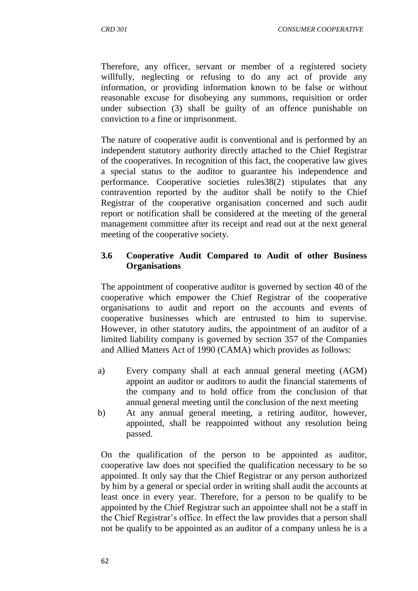Therefore, any officer, servant or member of a registered society willfully, neglecting or refusing to do any act of provide any information, or providing information known to be false or without reasonable excuse for disobeying any summons, requisition or order under subsection (3) shall be guilty of an offence punishable on conviction to a fine or imprisonment.

The nature of cooperative audit is conventional and is performed by an independent statutory authority directly attached to the Chief Registrar of the cooperatives. In recognition of this fact, the cooperative law gives a special status to the auditor to guarantee his independence and performance. Cooperative societies rules38(2) stipulates that any contravention reported by the auditor shall be notify to the Chief Registrar of the cooperative organisation concerned and such audit report or notification shall be considered at the meeting of the general management committee after its receipt and read out at the next general meeting of the cooperative society.

## **3.6 Cooperative Audit Compared to Audit of other Business Organisations**

The appointment of cooperative auditor is governed by section 40 of the cooperative which empower the Chief Registrar of the cooperative organisations to audit and report on the accounts and events of cooperative businesses which are entrusted to him to supervise. However, in other statutory audits, the appointment of an auditor of a limited liability company is governed by section 357 of the Companies and Allied Matters Act of 1990 (CAMA) which provides as follows:

- a) Every company shall at each annual general meeting (AGM) appoint an auditor or auditors to audit the financial statements of the company and to hold office from the conclusion of that annual general meeting until the conclusion of the next meeting
- b) At any annual general meeting, a retiring auditor, however, appointed, shall be reappointed without any resolution being passed.

On the qualification of the person to be appointed as auditor, cooperative law does not specified the qualification necessary to be so appointed. It only say that the Chief Registrar or any person authorized by him by a general or special order in writing shall audit the accounts at least once in every year. Therefore, for a person to be qualify to be appointed by the Chief Registrar such an appointee shall not be a staff in the Chief Registrar"s office. In effect the law provides that a person shall not be qualify to be appointed as an auditor of a company unless he is a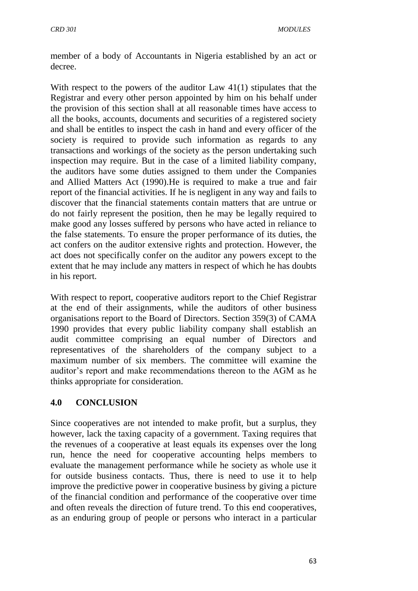member of a body of Accountants in Nigeria established by an act or decree.

With respect to the powers of the auditor Law 41(1) stipulates that the Registrar and every other person appointed by him on his behalf under the provision of this section shall at all reasonable times have access to all the books, accounts, documents and securities of a registered society and shall be entitles to inspect the cash in hand and every officer of the society is required to provide such information as regards to any transactions and workings of the society as the person undertaking such inspection may require. But in the case of a limited liability company, the auditors have some duties assigned to them under the Companies and Allied Matters Act (1990).He is required to make a true and fair report of the financial activities. If he is negligent in any way and fails to discover that the financial statements contain matters that are untrue or do not fairly represent the position, then he may be legally required to make good any losses suffered by persons who have acted in reliance to the false statements. To ensure the proper performance of its duties, the act confers on the auditor extensive rights and protection. However, the act does not specifically confer on the auditor any powers except to the extent that he may include any matters in respect of which he has doubts in his report.

With respect to report, cooperative auditors report to the Chief Registrar at the end of their assignments, while the auditors of other business organisations report to the Board of Directors. Section 359(3) of CAMA 1990 provides that every public liability company shall establish an audit committee comprising an equal number of Directors and representatives of the shareholders of the company subject to a maximum number of six members. The committee will examine the auditor's report and make recommendations thereon to the AGM as he thinks appropriate for consideration.

### **4.0 CONCLUSION**

Since cooperatives are not intended to make profit, but a surplus, they however, lack the taxing capacity of a government. Taxing requires that the revenues of a cooperative at least equals its expenses over the long run, hence the need for cooperative accounting helps members to evaluate the management performance while he society as whole use it for outside business contacts. Thus, there is need to use it to help improve the predictive power in cooperative business by giving a picture of the financial condition and performance of the cooperative over time and often reveals the direction of future trend. To this end cooperatives, as an enduring group of people or persons who interact in a particular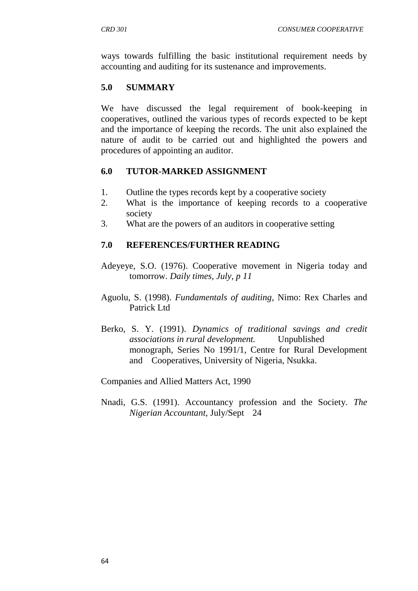ways towards fulfilling the basic institutional requirement needs by accounting and auditing for its sustenance and improvements.

## **5.0 SUMMARY**

We have discussed the legal requirement of book-keeping in cooperatives, outlined the various types of records expected to be kept and the importance of keeping the records. The unit also explained the nature of audit to be carried out and highlighted the powers and procedures of appointing an auditor.

### **6.0 TUTOR-MARKED ASSIGNMENT**

- 1. Outline the types records kept by a cooperative society
- 2. What is the importance of keeping records to a cooperative society
- 3. What are the powers of an auditors in cooperative setting

#### **7.0 REFERENCES/FURTHER READING**

- Adeyeye, S.O. (1976). Cooperative movement in Nigeria today and tomorrow. *Daily times, July, p 11*
- Aguolu, S. (1998). *Fundamentals of auditing*, Nimo: Rex Charles and Patrick Ltd
- Berko, S. Y. (1991). *Dynamics of traditional savings and credit associations in rural development.* Unpublished monograph, Series No 1991/1, Centre for Rural Development and Cooperatives, University of Nigeria, Nsukka.

Companies and Allied Matters Act, 1990

Nnadi, G.S. (1991). Accountancy profession and the Society. *The Nigerian Accountant,* July/Sept 24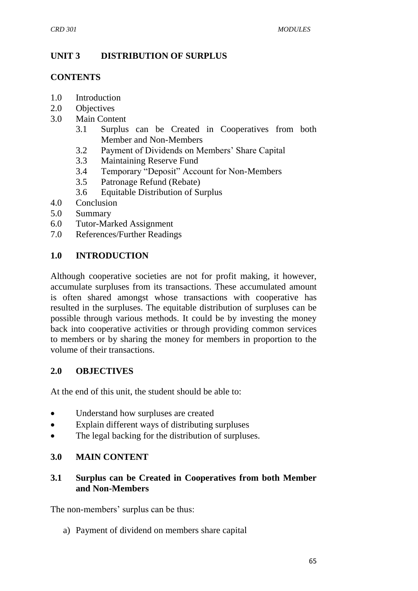## **UNIT 3 DISTRIBUTION OF SURPLUS**

#### **CONTENTS**

- 1.0 Introduction
- 2.0 Objectives
- 3.0 Main Content
	- 3.1 Surplus can be Created in Cooperatives from both Member and Non-Members
	- 3.2 Payment of Dividends on Members" Share Capital
	- 3.3 Maintaining Reserve Fund
	- 3.4 Temporary "Deposit" Account for Non-Members
	- 3.5 Patronage Refund (Rebate)
	- 3.6 Equitable Distribution of Surplus
- 4.0 Conclusion
- 5.0 Summary
- 6.0 Tutor-Marked Assignment
- 7.0 References/Further Readings

## **1.0 INTRODUCTION**

Although cooperative societies are not for profit making, it however, accumulate surpluses from its transactions. These accumulated amount is often shared amongst whose transactions with cooperative has resulted in the surpluses. The equitable distribution of surpluses can be possible through various methods. It could be by investing the money back into cooperative activities or through providing common services to members or by sharing the money for members in proportion to the volume of their transactions.

### **2.0 OBJECTIVES**

At the end of this unit, the student should be able to:

- Understand how surpluses are created
- Explain different ways of distributing surpluses
- The legal backing for the distribution of surpluses.

### **3.0 MAIN CONTENT**

### **3.1 Surplus can be Created in Cooperatives from both Member and Non-Members**

The non-members' surplus can be thus:

a) Payment of dividend on members share capital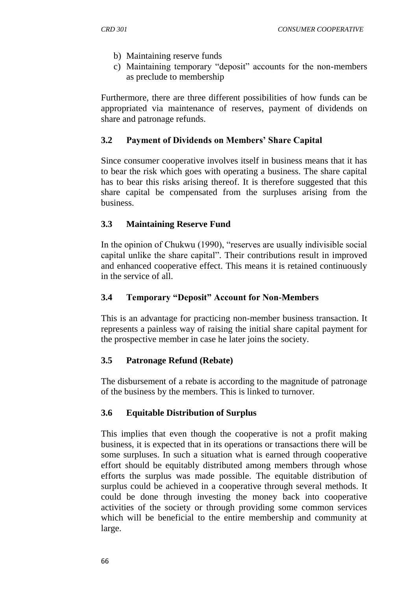- b) Maintaining reserve funds
- c) Maintaining temporary "deposit" accounts for the non-members as preclude to membership

Furthermore, there are three different possibilities of how funds can be appropriated via maintenance of reserves, payment of dividends on share and patronage refunds.

## **3.2 Payment of Dividends on Members' Share Capital**

Since consumer cooperative involves itself in business means that it has to bear the risk which goes with operating a business. The share capital has to bear this risks arising thereof. It is therefore suggested that this share capital be compensated from the surpluses arising from the business.

## **3.3 Maintaining Reserve Fund**

In the opinion of Chukwu (1990), "reserves are usually indivisible social capital unlike the share capital". Their contributions result in improved and enhanced cooperative effect. This means it is retained continuously in the service of all.

## **3.4 Temporary "Deposit" Account for Non-Members**

This is an advantage for practicing non-member business transaction. It represents a painless way of raising the initial share capital payment for the prospective member in case he later joins the society.

### **3.5 Patronage Refund (Rebate)**

The disbursement of a rebate is according to the magnitude of patronage of the business by the members. This is linked to turnover.

# **3.6 Equitable Distribution of Surplus**

This implies that even though the cooperative is not a profit making business, it is expected that in its operations or transactions there will be some surpluses. In such a situation what is earned through cooperative effort should be equitably distributed among members through whose efforts the surplus was made possible. The equitable distribution of surplus could be achieved in a cooperative through several methods. It could be done through investing the money back into cooperative activities of the society or through providing some common services which will be beneficial to the entire membership and community at large.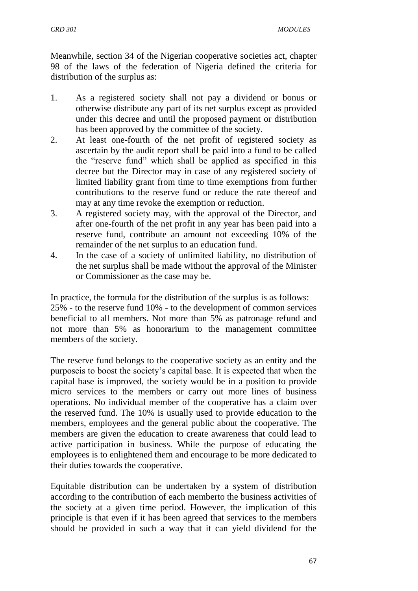Meanwhile, section 34 of the Nigerian cooperative societies act, chapter 98 of the laws of the federation of Nigeria defined the criteria for distribution of the surplus as:

- 1. As a registered society shall not pay a dividend or bonus or otherwise distribute any part of its net surplus except as provided under this decree and until the proposed payment or distribution has been approved by the committee of the society.
- 2. At least one-fourth of the net profit of registered society as ascertain by the audit report shall be paid into a fund to be called the "reserve fund" which shall be applied as specified in this decree but the Director may in case of any registered society of limited liability grant from time to time exemptions from further contributions to the reserve fund or reduce the rate thereof and may at any time revoke the exemption or reduction.
- 3. A registered society may, with the approval of the Director, and after one-fourth of the net profit in any year has been paid into a reserve fund, contribute an amount not exceeding 10% of the remainder of the net surplus to an education fund.
- 4. In the case of a society of unlimited liability, no distribution of the net surplus shall be made without the approval of the Minister or Commissioner as the case may be.

In practice, the formula for the distribution of the surplus is as follows: 25% - to the reserve fund 10% - to the development of common services beneficial to all members. Not more than 5% as patronage refund and not more than 5% as honorarium to the management committee members of the society.

The reserve fund belongs to the cooperative society as an entity and the purposeis to boost the society"s capital base. It is expected that when the capital base is improved, the society would be in a position to provide micro services to the members or carry out more lines of business operations. No individual member of the cooperative has a claim over the reserved fund. The 10% is usually used to provide education to the members, employees and the general public about the cooperative. The members are given the education to create awareness that could lead to active participation in business. While the purpose of educating the employees is to enlightened them and encourage to be more dedicated to their duties towards the cooperative.

Equitable distribution can be undertaken by a system of distribution according to the contribution of each memberto the business activities of the society at a given time period. However, the implication of this principle is that even if it has been agreed that services to the members should be provided in such a way that it can yield dividend for the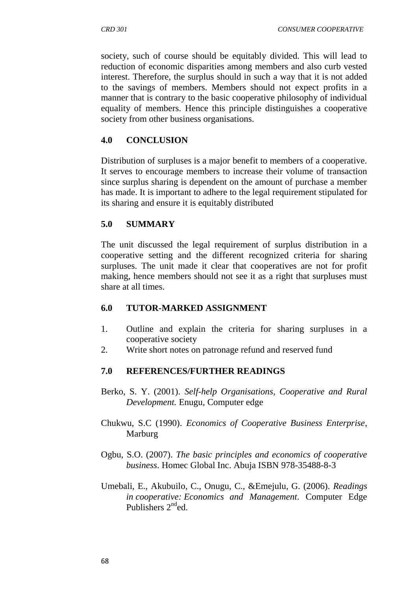society, such of course should be equitably divided. This will lead to reduction of economic disparities among members and also curb vested interest. Therefore, the surplus should in such a way that it is not added to the savings of members. Members should not expect profits in a manner that is contrary to the basic cooperative philosophy of individual equality of members. Hence this principle distinguishes a cooperative society from other business organisations.

### **4.0 CONCLUSION**

Distribution of surpluses is a major benefit to members of a cooperative. It serves to encourage members to increase their volume of transaction since surplus sharing is dependent on the amount of purchase a member has made. It is important to adhere to the legal requirement stipulated for its sharing and ensure it is equitably distributed

### **5.0 SUMMARY**

The unit discussed the legal requirement of surplus distribution in a cooperative setting and the different recognized criteria for sharing surpluses. The unit made it clear that cooperatives are not for profit making, hence members should not see it as a right that surpluses must share at all times.

### **6.0 TUTOR-MARKED ASSIGNMENT**

- 1. Outline and explain the criteria for sharing surpluses in a cooperative society
- 2. Write short notes on patronage refund and reserved fund

### **7.0 REFERENCES/FURTHER READINGS**

- Berko, S. Y. (2001). *Self-help Organisations, Cooperative and Rural Development.* Enugu, Computer edge
- Chukwu, S.C (1990). *Economics of Cooperative Business Enterprise*, Marburg
- Ogbu, S.O. (2007). *The basic principles and economics of cooperative business*. Homec Global Inc. Abuja ISBN 978-35488-8-3
- Umebali, E., Akubuilo, C., Onugu, C., &Emejulu, G. (2006). *Readings in cooperative: Economics and Management*. Computer Edge Publishers  $2^{nd}$ ed.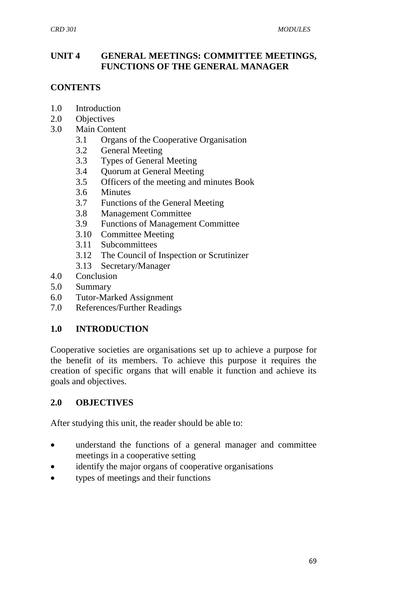## **UNIT 4 GENERAL MEETINGS: COMMITTEE MEETINGS, FUNCTIONS OF THE GENERAL MANAGER**

# **CONTENTS**

- 1.0 Introduction
- 2.0 Objectives
- 3.0 Main Content
	- 3.1 Organs of the Cooperative Organisation
	- 3.2 General Meeting
	- 3.3 Types of General Meeting
	- 3.4 Quorum at General Meeting
	- 3.5 Officers of the meeting and minutes Book
	- 3.6 Minutes
	- 3.7 Functions of the General Meeting
	- 3.8 Management Committee
	- 3.9 Functions of Management Committee
	- 3.10 Committee Meeting
	- 3.11 Subcommittees
	- 3.12 The Council of Inspection or Scrutinizer
	- 3.13 Secretary/Manager
- 4.0 Conclusion
- 5.0 Summary
- 6.0 Tutor-Marked Assignment
- 7.0 References/Further Readings

# **1.0 INTRODUCTION**

Cooperative societies are organisations set up to achieve a purpose for the benefit of its members. To achieve this purpose it requires the creation of specific organs that will enable it function and achieve its goals and objectives.

# **2.0 OBJECTIVES**

After studying this unit, the reader should be able to:

- understand the functions of a general manager and committee meetings in a cooperative setting
- identify the major organs of cooperative organisations
- types of meetings and their functions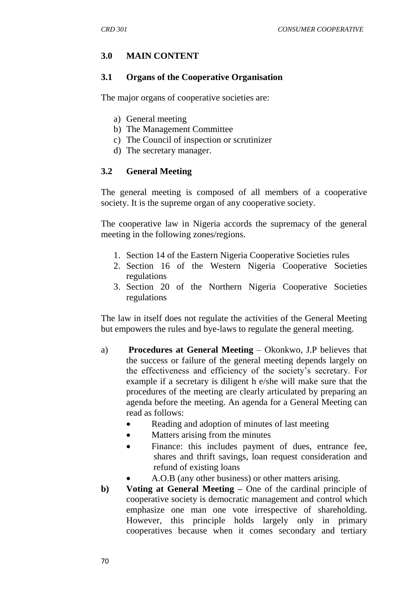## **3.0 MAIN CONTENT**

#### **3.1 Organs of the Cooperative Organisation**

The major organs of cooperative societies are:

- a) General meeting
- b) The Management Committee
- c) The Council of inspection or scrutinizer
- d) The secretary manager.

#### **3.2 General Meeting**

The general meeting is composed of all members of a cooperative society. It is the supreme organ of any cooperative society.

The cooperative law in Nigeria accords the supremacy of the general meeting in the following zones/regions.

- 1. Section 14 of the Eastern Nigeria Cooperative Societies rules
- 2. Section 16 of the Western Nigeria Cooperative Societies regulations
- 3. Section 20 of the Northern Nigeria Cooperative Societies regulations

The law in itself does not regulate the activities of the General Meeting but empowers the rules and bye-laws to regulate the general meeting.

- a) **Procedures at General Meeting** Okonkwo, J.P believes that the success or failure of the general meeting depends largely on the effectiveness and efficiency of the society"s secretary. For example if a secretary is diligent h e/she will make sure that the procedures of the meeting are clearly articulated by preparing an agenda before the meeting. An agenda for a General Meeting can read as follows:
	- Reading and adoption of minutes of last meeting
	- Matters arising from the minutes
	- Finance: this includes payment of dues, entrance fee, shares and thrift savings, loan request consideration and refund of existing loans
		- A.O.B (any other business) or other matters arising.
- **b) Voting at General Meeting –** One of the cardinal principle of cooperative society is democratic management and control which emphasize one man one vote irrespective of shareholding. However, this principle holds largely only in primary cooperatives because when it comes secondary and tertiary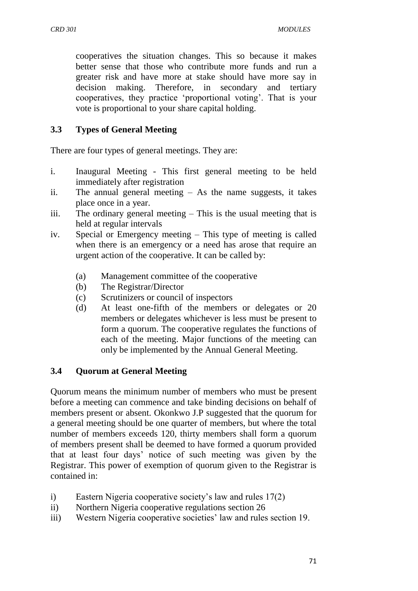cooperatives the situation changes. This so because it makes better sense that those who contribute more funds and run a greater risk and have more at stake should have more say in decision making. Therefore, in secondary and tertiary cooperatives, they practice "proportional voting". That is your vote is proportional to your share capital holding.

# **3.3 Types of General Meeting**

There are four types of general meetings. They are:

- i. Inaugural Meeting This first general meeting to be held immediately after registration
- ii. The annual general meeting As the name suggests, it takes place once in a year.
- iii. The ordinary general meeting This is the usual meeting that is held at regular intervals
- iv. Special or Emergency meeting This type of meeting is called when there is an emergency or a need has arose that require an urgent action of the cooperative. It can be called by:
	- (a) Management committee of the cooperative
	- (b) The Registrar/Director
	- (c) Scrutinizers or council of inspectors
	- (d) At least one-fifth of the members or delegates or 20 members or delegates whichever is less must be present to form a quorum. The cooperative regulates the functions of each of the meeting. Major functions of the meeting can only be implemented by the Annual General Meeting.

# **3.4 Quorum at General Meeting**

Quorum means the minimum number of members who must be present before a meeting can commence and take binding decisions on behalf of members present or absent. Okonkwo J.P suggested that the quorum for a general meeting should be one quarter of members, but where the total number of members exceeds 120, thirty members shall form a quorum of members present shall be deemed to have formed a quorum provided that at least four days" notice of such meeting was given by the Registrar. This power of exemption of quorum given to the Registrar is contained in:

- i) Eastern Nigeria cooperative society's law and rules 17(2)
- ii) Northern Nigeria cooperative regulations section 26
- iii) Western Nigeria cooperative societies' law and rules section 19.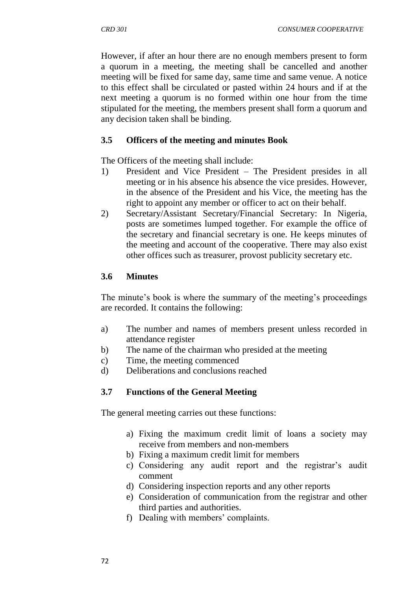However, if after an hour there are no enough members present to form a quorum in a meeting, the meeting shall be cancelled and another meeting will be fixed for same day, same time and same venue. A notice to this effect shall be circulated or pasted within 24 hours and if at the next meeting a quorum is no formed within one hour from the time stipulated for the meeting, the members present shall form a quorum and any decision taken shall be binding.

### **3.5 Officers of the meeting and minutes Book**

The Officers of the meeting shall include:

- 1) President and Vice President The President presides in all meeting or in his absence his absence the vice presides. However, in the absence of the President and his Vice, the meeting has the right to appoint any member or officer to act on their behalf.
- 2) Secretary/Assistant Secretary/Financial Secretary: In Nigeria, posts are sometimes lumped together. For example the office of the secretary and financial secretary is one. He keeps minutes of the meeting and account of the cooperative. There may also exist other offices such as treasurer, provost publicity secretary etc.

#### **3.6 Minutes**

The minute's book is where the summary of the meeting's proceedings are recorded. It contains the following:

- a) The number and names of members present unless recorded in attendance register
- b) The name of the chairman who presided at the meeting
- c) Time, the meeting commenced
- d) Deliberations and conclusions reached

# **3.7 Functions of the General Meeting**

The general meeting carries out these functions:

- a) Fixing the maximum credit limit of loans a society may receive from members and non-members
- b) Fixing a maximum credit limit for members
- c) Considering any audit report and the registrar's audit comment
- d) Considering inspection reports and any other reports
- e) Consideration of communication from the registrar and other third parties and authorities.
- f) Dealing with members' complaints.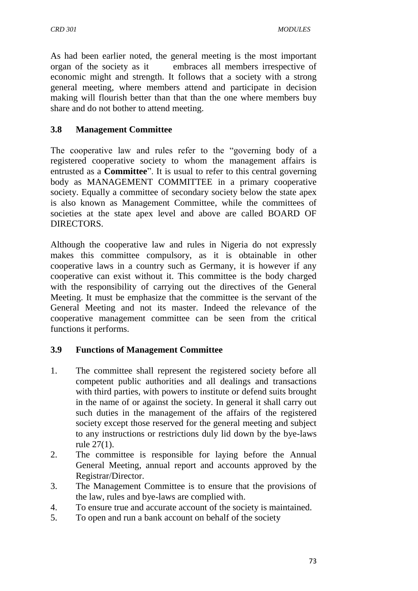As had been earlier noted, the general meeting is the most important organ of the society as it embraces all members irrespective of economic might and strength. It follows that a society with a strong general meeting, where members attend and participate in decision making will flourish better than that than the one where members buy share and do not bother to attend meeting.

## **3.8 Management Committee**

The cooperative law and rules refer to the "governing body of a registered cooperative society to whom the management affairs is entrusted as a **Committee**". It is usual to refer to this central governing body as MANAGEMENT COMMITTEE in a primary cooperative society. Equally a committee of secondary society below the state apex is also known as Management Committee, while the committees of societies at the state apex level and above are called BOARD OF DIRECTORS.

Although the cooperative law and rules in Nigeria do not expressly makes this committee compulsory, as it is obtainable in other cooperative laws in a country such as Germany, it is however if any cooperative can exist without it. This committee is the body charged with the responsibility of carrying out the directives of the General Meeting. It must be emphasize that the committee is the servant of the General Meeting and not its master. Indeed the relevance of the cooperative management committee can be seen from the critical functions it performs.

# **3.9 Functions of Management Committee**

- 1. The committee shall represent the registered society before all competent public authorities and all dealings and transactions with third parties, with powers to institute or defend suits brought in the name of or against the society. In general it shall carry out such duties in the management of the affairs of the registered society except those reserved for the general meeting and subject to any instructions or restrictions duly lid down by the bye-laws rule 27(1).
- 2. The committee is responsible for laying before the Annual General Meeting, annual report and accounts approved by the Registrar/Director.
- 3. The Management Committee is to ensure that the provisions of the law, rules and bye-laws are complied with.
- 4. To ensure true and accurate account of the society is maintained.
- 5. To open and run a bank account on behalf of the society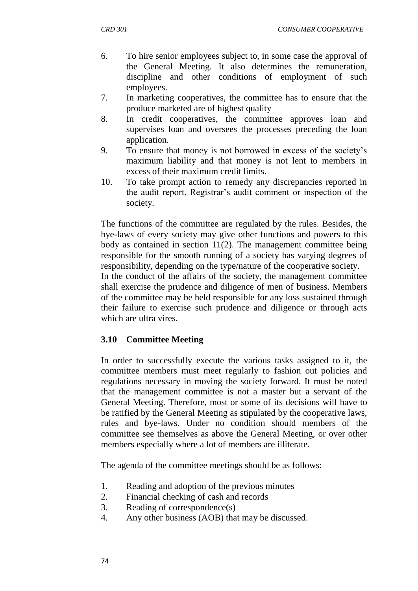- 6. To hire senior employees subject to, in some case the approval of the General Meeting. It also determines the remuneration, discipline and other conditions of employment of such employees.
- 7. In marketing cooperatives, the committee has to ensure that the produce marketed are of highest quality
- 8. In credit cooperatives, the committee approves loan and supervises loan and oversees the processes preceding the loan application.
- 9. To ensure that money is not borrowed in excess of the society"s maximum liability and that money is not lent to members in excess of their maximum credit limits.
- 10. To take prompt action to remedy any discrepancies reported in the audit report, Registrar"s audit comment or inspection of the society.

The functions of the committee are regulated by the rules. Besides, the bye-laws of every society may give other functions and powers to this body as contained in section 11(2). The management committee being responsible for the smooth running of a society has varying degrees of responsibility, depending on the type/nature of the cooperative society.

In the conduct of the affairs of the society, the management committee shall exercise the prudence and diligence of men of business. Members of the committee may be held responsible for any loss sustained through their failure to exercise such prudence and diligence or through acts which are ultra vires.

#### **3.10 Committee Meeting**

In order to successfully execute the various tasks assigned to it, the committee members must meet regularly to fashion out policies and regulations necessary in moving the society forward. It must be noted that the management committee is not a master but a servant of the General Meeting. Therefore, most or some of its decisions will have to be ratified by the General Meeting as stipulated by the cooperative laws, rules and bye-laws. Under no condition should members of the committee see themselves as above the General Meeting, or over other members especially where a lot of members are illiterate.

The agenda of the committee meetings should be as follows:

- 1. Reading and adoption of the previous minutes
- 2. Financial checking of cash and records
- 3. Reading of correspondence(s)
- 4. Any other business (AOB) that may be discussed.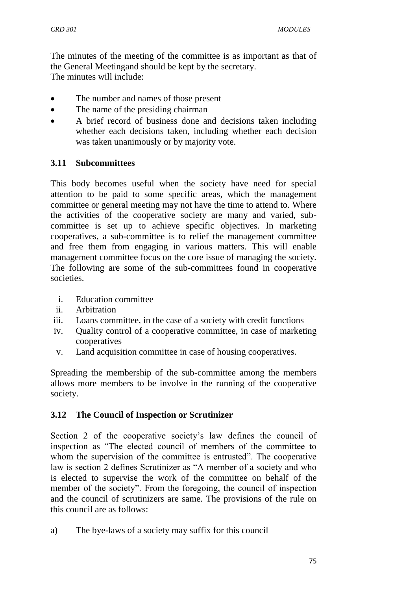The minutes of the meeting of the committee is as important as that of the General Meetingand should be kept by the secretary. The minutes will include:

- The number and names of those present
- The name of the presiding chairman
- A brief record of business done and decisions taken including whether each decisions taken, including whether each decision was taken unanimously or by majority vote.

#### **3.11 Subcommittees**

This body becomes useful when the society have need for special attention to be paid to some specific areas, which the management committee or general meeting may not have the time to attend to. Where the activities of the cooperative society are many and varied, subcommittee is set up to achieve specific objectives. In marketing cooperatives, a sub-committee is to relief the management committee and free them from engaging in various matters. This will enable management committee focus on the core issue of managing the society. The following are some of the sub-committees found in cooperative societies.

- i. Education committee
- ii. Arbitration
- iii. Loans committee, in the case of a society with credit functions
- iv. Quality control of a cooperative committee, in case of marketing cooperatives
- v. Land acquisition committee in case of housing cooperatives.

Spreading the membership of the sub-committee among the members allows more members to be involve in the running of the cooperative society.

#### **3.12 The Council of Inspection or Scrutinizer**

Section 2 of the cooperative society's law defines the council of inspection as "The elected council of members of the committee to whom the supervision of the committee is entrusted". The cooperative law is section 2 defines Scrutinizer as "A member of a society and who is elected to supervise the work of the committee on behalf of the member of the society". From the foregoing, the council of inspection and the council of scrutinizers are same. The provisions of the rule on this council are as follows:

a) The bye-laws of a society may suffix for this council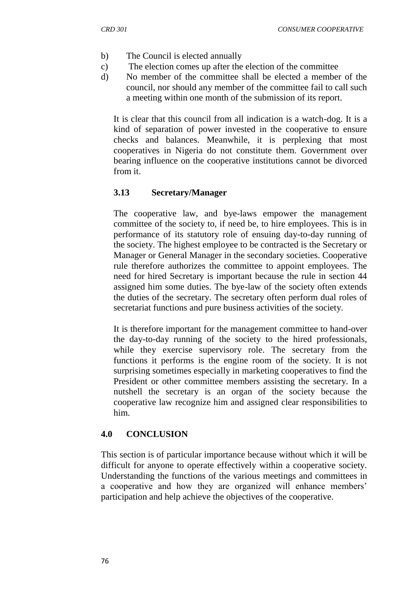- b) The Council is elected annually
- c) The election comes up after the election of the committee
- d) No member of the committee shall be elected a member of the council, nor should any member of the committee fail to call such a meeting within one month of the submission of its report.

It is clear that this council from all indication is a watch-dog. It is a kind of separation of power invested in the cooperative to ensure checks and balances. Meanwhile, it is perplexing that most cooperatives in Nigeria do not constitute them. Government over bearing influence on the cooperative institutions cannot be divorced from it.

## **3.13 Secretary/Manager**

The cooperative law, and bye-laws empower the management committee of the society to, if need be, to hire employees. This is in performance of its statutory role of ensuing day-to-day running of the society. The highest employee to be contracted is the Secretary or Manager or General Manager in the secondary societies. Cooperative rule therefore authorizes the committee to appoint employees. The need for hired Secretary is important because the rule in section 44 assigned him some duties. The bye-law of the society often extends the duties of the secretary. The secretary often perform dual roles of secretariat functions and pure business activities of the society.

It is therefore important for the management committee to hand-over the day-to-day running of the society to the hired professionals, while they exercise supervisory role. The secretary from the functions it performs is the engine room of the society. It is not surprising sometimes especially in marketing cooperatives to find the President or other committee members assisting the secretary. In a nutshell the secretary is an organ of the society because the cooperative law recognize him and assigned clear responsibilities to him.

#### **4.0 CONCLUSION**

This section is of particular importance because without which it will be difficult for anyone to operate effectively within a cooperative society. Understanding the functions of the various meetings and committees in a cooperative and how they are organized will enhance members' participation and help achieve the objectives of the cooperative.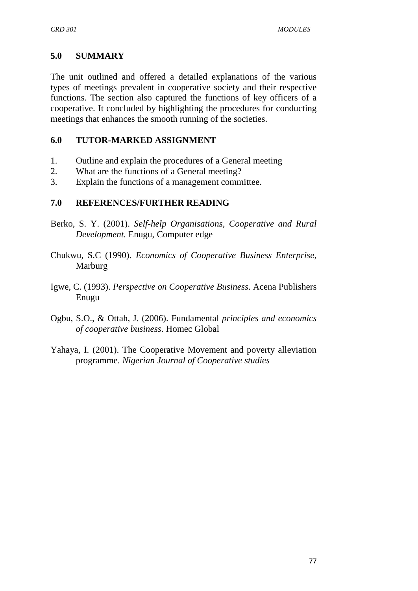## **5.0 SUMMARY**

The unit outlined and offered a detailed explanations of the various types of meetings prevalent in cooperative society and their respective functions. The section also captured the functions of key officers of a cooperative. It concluded by highlighting the procedures for conducting meetings that enhances the smooth running of the societies.

### **6.0 TUTOR-MARKED ASSIGNMENT**

- 1. Outline and explain the procedures of a General meeting
- 2. What are the functions of a General meeting?
- 3. Explain the functions of a management committee.

## **7.0 REFERENCES/FURTHER READING**

- Berko, S. Y. (2001). *Self-help Organisations, Cooperative and Rural Development.* Enugu, Computer edge
- Chukwu, S.C (1990). *Economics of Cooperative Business Enterprise*, Marburg
- Igwe, C. (1993). *Perspective on Cooperative Business*. Acena Publishers Enugu
- Ogbu, S.O., & Ottah, J. (2006). Fundamental *principles and economics of cooperative business*. Homec Global
- Yahaya, I. (2001). The Cooperative Movement and poverty alleviation programme. *Nigerian Journal of Cooperative studies*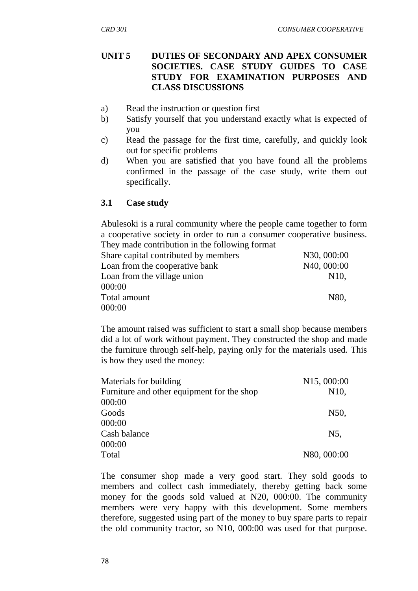### **UNIT 5 DUTIES OF SECONDARY AND APEX CONSUMER SOCIETIES. CASE STUDY GUIDES TO CASE STUDY FOR EXAMINATION PURPOSES AND CLASS DISCUSSIONS**

- a) Read the instruction or question first
- b) Satisfy yourself that you understand exactly what is expected of you
- c) Read the passage for the first time, carefully, and quickly look out for specific problems
- d) When you are satisfied that you have found all the problems confirmed in the passage of the case study, write them out specifically.

## **3.1 Case study**

Abulesoki is a rural community where the people came together to form a cooperative society in order to run a consumer cooperative business. They made contribution in the following format

| N30, 000:00       |
|-------------------|
| N40, 000:00       |
| N <sub>10</sub> . |
|                   |
| N80.              |
|                   |
|                   |

The amount raised was sufficient to start a small shop because members did a lot of work without payment. They constructed the shop and made the furniture through self-help, paying only for the materials used. This is how they used the money:

| Materials for building                     | N <sub>15</sub> , 000:00 |
|--------------------------------------------|--------------------------|
| Furniture and other equipment for the shop | N <sub>10</sub> ,        |
| 000:00                                     |                          |
| Goods                                      | N50,                     |
| 000:00                                     |                          |
| Cash balance                               | N5,                      |
| 000:00                                     |                          |
| Total                                      | N80, 000:00              |
|                                            |                          |

The consumer shop made a very good start. They sold goods to members and collect cash immediately, thereby getting back some money for the goods sold valued at N20, 000:00. The community members were very happy with this development. Some members therefore, suggested using part of the money to buy spare parts to repair the old community tractor, so N10, 000:00 was used for that purpose.